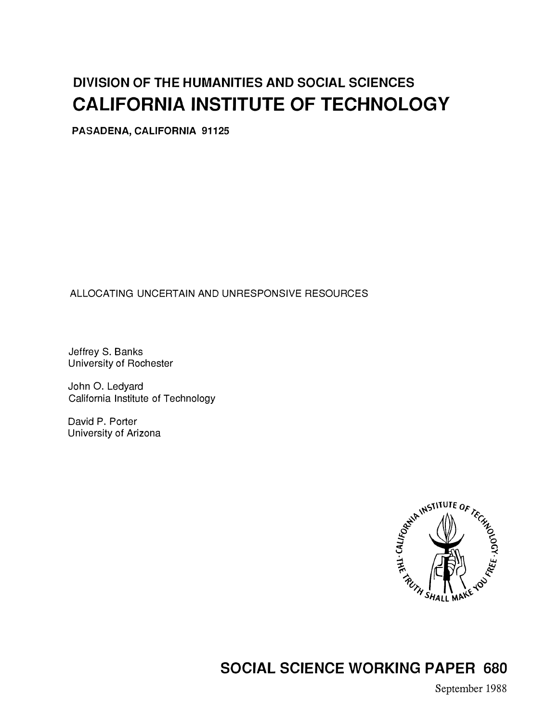# DIVISION OF THE HUMANITIES AND SOCIAL SCIENCES CALIFORNIA INSTITUTE OF TECHNOLOGY

PASADENA, CALIFORNIA 91125

ALLOCATING UNCERTAIN AND UNRESPONSIVE RESOURCES

Jeffrey S. Banks University of Rochester

John 0. Ledyard California Institute of Technology

David P. Porter University of Arizona



SOCIAL SCIENCE WORKING PAPER 680

September 1988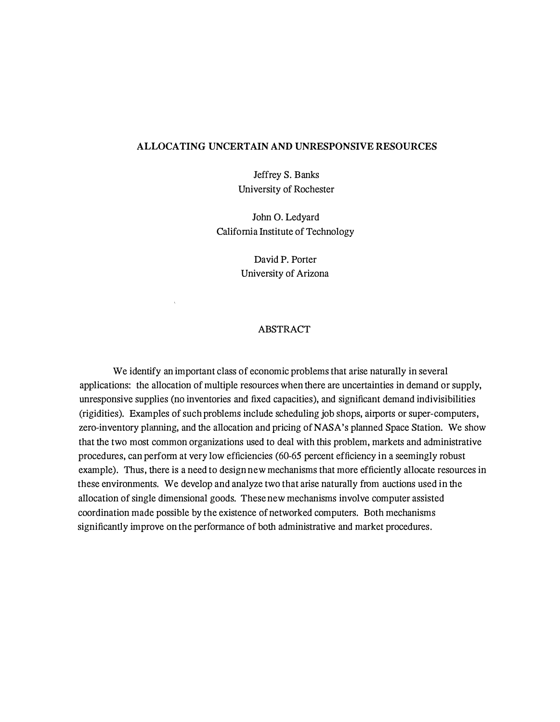#### ALLOCATING UNCERTAIN AND UNRESPONSIVE RESOURCES

Jeffrey S. Banks University of Rochester

John 0. Ledyard California Institute of Technology

> David P. Porter University of Arizona

#### ABSTRACT

We identify an important class of economic problems that arise naturally in several applications: the allocation of multiple resources when there are uncertainties in demand or supply, unresponsive supplies (no inventories and fixed capacities), and significant demand indivisibilities (rigidities). Examples of such problems include scheduling job shops, airports or super-computers, zero-inventory planning, and the allocation and pricing of NASA's planned Space Station. We show that the two most common organizations used to deal with this problem, markets and administrative procedures, can perform at very low efficiencies (60-65 percent efficiency in a seemingly robust example). Thus, there is a need to design new mechanisms that more efficiently allocate resources in these environments. We develop and analyze two that arise naturally from auctions used in the allocation of single dimensional goods. These new mechanisms involve computer assisted coordination made possible by the existence of networked computers. Both mechanisms significantly improve on the performance of both administrative and market procedures.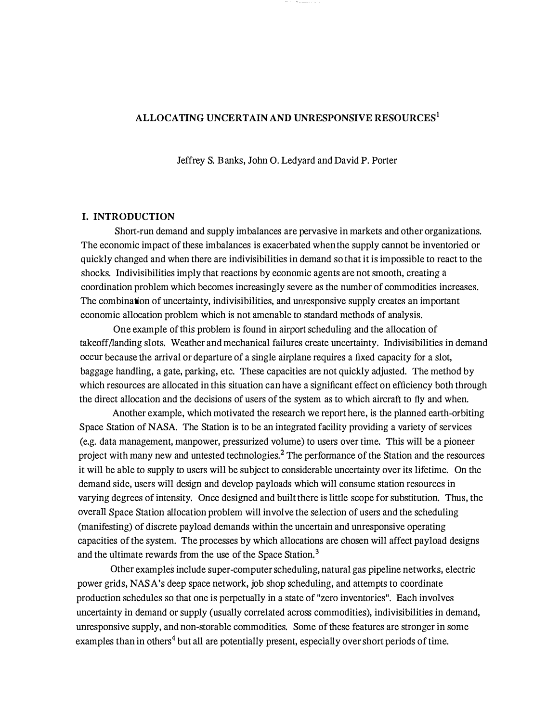#### ALLOCATING UNCERTAIN AND UNRESPONSIVE RESOURCES<sup>1</sup>

Jeffrey S. B anks, John 0. Ledyard and David P. Porter

#### I. INTRODUCTION

Short-run demand and supply imbalances are pervasive in markets and other organizations. The economic impact of these imbalances is exacerbated when the supply cannot be inventoried or quickly changed and when there are indivisibilities in demand so that it is impossible to react to the shocks. Indivisibilities imply that reactions by economic agents are not smooth, creating a coordination problem which becomes increasingly severe as the number of commodities increases. The combination of uncertainty, indivisibilities, and unresponsive supply creates an important economic allocation problem which is not amenable to standard methods of analysis.

One example of this problem is found in airport scheduling and the allocation of takeoff/landing slots. Weather and mechanical failures create uncertainty. Indivisibilities in demand occur because the arrival or departure of a single airplane requires a fixed capacity for a slot, baggage handling, a gate, parking, etc. These capacities are not quickly adjusted. The method by which resources are allocated in this situation can have a significant effect on efficiency both through the direct allocation and the decisions of users of the system as to which aircraft to fly and when.

Another example, which motivated the research we report here, is the planned earth-orbiting Space Station of NASA. The Station is to be an integrated facility providing a variety of services (e.g. data management, manpower, pressurized volume) to users over time. This will be a pioneer project with many new and untested technologies.<sup>2</sup> The performance of the Station and the resources it will be able to supply to users will be subject to considerable uncertainty over its lifetime. On the demand side, users will design and develop payloads which will consume station resources in varying degrees of intensity. Once designed and built there is little scope for substitution. Thus, the overall Space Station allocation problem will involve the selection of users and the scheduling (manifesting) of discrete payload demands within the uncertain and unresponsive operating capacities of the system. The processes by which allocations are chosen will affect payload designs and the ultimate rewards from the use of the Space Station.<sup>3</sup>

Other examples include super-computer scheduling, natural gas pipeline networks, electric power grids, NASA's deep space network, job shop scheduling, and attempts to coordinate production schedules so that one is perpetually in a state of "zero inventories". Each involves uncertainty in demand or supply (usually correlated across commodities), indivisibilities in demand, unresponsive supply, and non-storable commodities. Some of these features are stronger in some examples than in others<sup>4</sup> but all are potentially present, especially over short periods of time.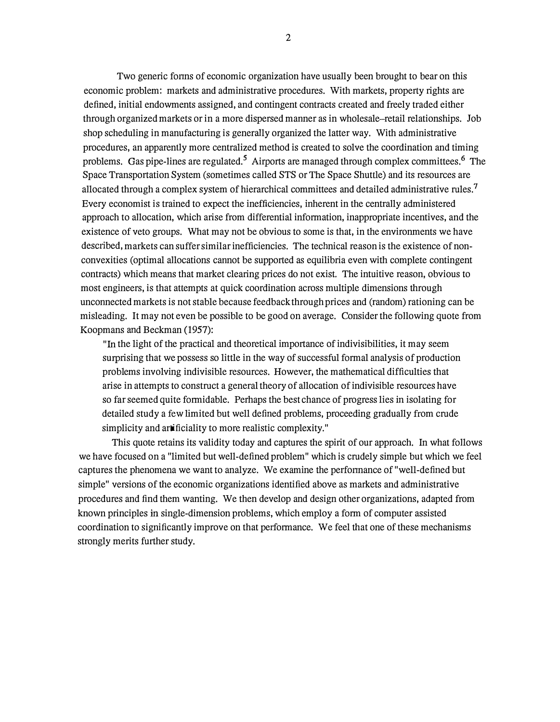Two generic fonns of economic organization have usually been brought to bear on this economic problem: markets and administrative procedures. With markets, property rights are defined, initial endowments assigned, and contingent contracts created and freely traded either through organized markets or in a more dispersed manner as in wholesale-retail relationships. Job shop scheduling in manufacturing is generally organized the latter way. With administrative procedures, an apparently more centralized method is created to solve the coordination and timing problems. Gas pipe-lines are regulated.<sup>5</sup> Airports are managed through complex committees.<sup>6</sup> The Space Transportation System (sometimes called STS or The Space Shuttle) and its resources are allocated through a complex system of hierarchical committees and detailed administrative rules.<sup>7</sup> Every economist is trained to expect the inefficiencies, inherent in the centrally administered approach to allocation, which arise from differential information, inappropriate incentives, and the existence of veto groups. What may not be obvious to some is that, in the environments we have described, markets can suffer similar inefficiencies. The technical reason is the existence of nonconvexities (optimal allocations cannot be supported as equilibria even with complete contingent contracts) which means that market clearing prices do not exist. The intuitive reason, obvious to most engineers, is that attempts at quick coordination across multiple dimensions through unconnected markets is not stable because feedback through prices and (random) rationing can be misleading. It may not even be possible to be good on average. Consider the following quote from Koopmans and Beckman (1957):

"In the light of the practical and theoretical importance of indivisibilities, it may seem surprising that we possess so little in the way of successful formal analysis of production problems involving indivisible resources. However, the mathematical difficulties that arise in attempts to construct a general theory of allocation of indivisible resources have so far seemed quite formidable. Perhaps the best chance of progress lies in isolating for detailed study a few limited but well defined problems, proceeding gradually from crude simplicity and artificiality to more realistic complexity."

This quote retains its validity today and captures the spirit of our approach. In what follows we have focused on a "limited but well-defined problem" which is crudely simple but which we feel captures the phenomena we want to analyze. We examine the perfonnance of "well-defined but simple" versions of the economic organizations identified above as markets and administrative procedures and find them wanting. We then develop and design other organizations, adapted from known principles in single-dimension problems, which employ a form of computer assisted coordination to significantly improve on that performance. We feel that one of these mechanisms strongly merits further study.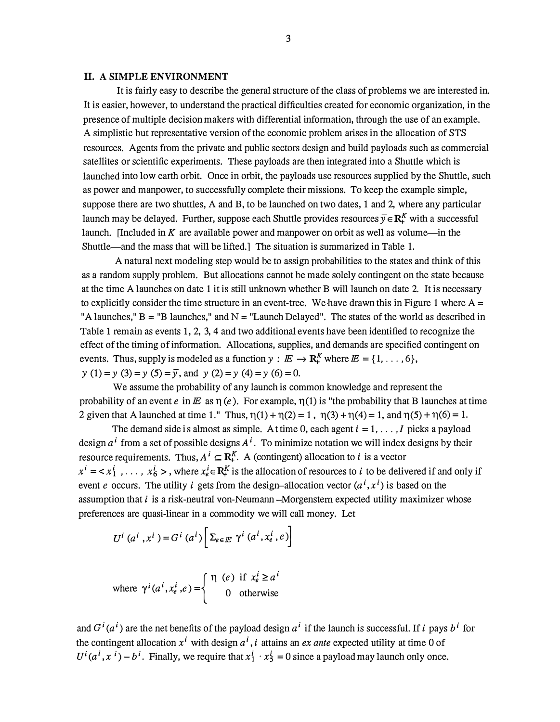#### II. A SIMPLE ENVIRONMENT

It is fairly easy to describe the general structure of the class of problems we are interested in. It is easier, however, to understand the practical difficulties created for economic organization, in the presence of multiple decision makers with differential information, through the use of an example. A simplistic but representative version of the economic problem arises in the allocation of STS resources. Agents from the private and public sectors design and build payloads such as commercial satellites or scientific experiments. These payloads are then integrated into a Shuttle which is launched into low earth orbit. Once in orbit, the payloads use resources supplied by the Shuttle, such as power and manpower, to successfully complete their missions. To keep the example simple, suppose there are two shuttles, A and B, to be launched on two dates, 1 and 2, where any particular launch may be delayed. Further, suppose each Shuttle provides resources  $\overline{v} \in \mathbb{R}_+^K$  with a successful launch. [Included in K are available power and manpower on orbit as well as volume-in the Shuttle-and the mass that will be lifted.] The situation is summarized in Table 1.

A natural next modeling step would be to assign probabilities to the states and think of this as a random supply problem. But allocations cannot be made solely contingent on the state because at the time A launches on date 1 it is still unknown whether B will launch on date 2. It is necessary to explicitly consider the time structure in an event-tree. We have drawn this in Figure 1 where  $A =$ "A launches,"  $B = "B$  launches," and  $N = "L$ aunch Delayed". The states of the world as described in Table 1 remain as events 1, 2, 3, 4 and two additional events have been identified to recognize the effect of the timing of information. Allocations, supplies, and demands are specified contingent on events. Thus, supply is modeled as a function  $y : E \to \mathbb{R}^K$  where  $E = \{1, \ldots, 6\}$ ,  $y(1) = y(3) = y(5) = y$ , and  $y(2) = y(4) = y(6) = 0$ .

We assume the probability of any launch is common knowledge and represent the probability of an event e in  $E$  as  $\eta(e)$ . For example,  $\eta(1)$  is "the probability that B launches at time 2 given that A launched at time 1." Thus,  $\eta(1) + \eta(2) = 1$ ,  $\eta(3) + \eta(4) = 1$ , and  $\eta(5) + \eta(6) = 1$ .

The demand side is almost as simple. At time 0, each agent  $i = 1, \ldots, I$  picks a payload design  $a^i$  from a set of possible designs  $A^i$ . To minimize notation we will index designs by their resource requirements. Thus,  $A^i \subseteq \mathbb{R}_+^K$ . A (contingent) allocation to i is a vector  $x^{i} = \langle x_{1}^{i}, \ldots, x_{6}^{i} \rangle$ , where  $x_{e}^{i} \in \mathbb{R}_{+}^{K}$  is the allocation of resources to i to be delivered if and only if event e occurs. The utility i gets from the design-allocation vector  $(a^i, x^i)$  is based on the assumption that  $i$  is a risk-neutral von-Neumann-Morgenstern expected utility maximizer whose preferences are quasi-linear in a commodity we will call money. Let

$$
U^{i}(a^{i}, x^{i}) = G^{i}(a^{i}) \left[\sum_{e \in E} \gamma^{i}(a^{i}, x_{e}^{i}, e)\right]
$$

where 
$$
\gamma^{i}(a^{i}, x_{e}^{i}, e) = \begin{cases} \eta(e) & \text{if } x_{e}^{i} \ge a^{i} \\ 0 & \text{otherwise} \end{cases}
$$

and  $G^{i}(a^{i})$  are the net benefits of the payload design  $a^{i}$  if the launch is successful. If i pays  $b^{i}$  for the contingent allocation  $x^{i}$  with design  $a^{i}$ , *i* attains an *ex ante* expected utility at time 0 of  $U^{i}(a^{i}, x^{i}) - b^{i}$ . Finally, we require that  $x_1^{i} \cdot x_5^{i} = 0$  since a payload may launch only once.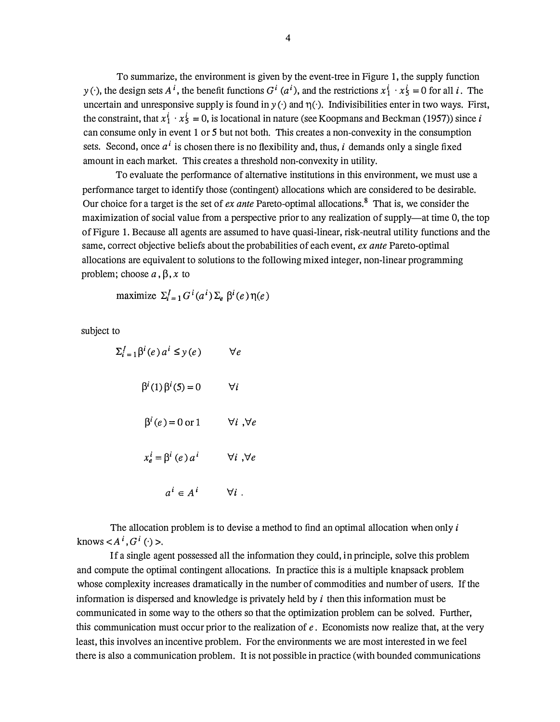To summarize, the environment is given by the event-tree in Figure 1, the supply function y (·), the design sets  $A^i$ , the benefit functions  $G^i$  ( $a^i$ ), and the restrictions  $x_1^i \cdot x_5^i = 0$  for all i. The uncertain and unresponsive supply is found in  $y(\cdot)$  and  $\eta(\cdot)$ . Indivisibilities enter in two ways. First, the constraint, that  $x_1^i \cdot x_5^i = 0$ , is locational in nature (see Koopmans and Beckman (1957)) since i can consume only in event 1 or 5 but not both. This creates a non-convexity in the consumption sets. Second, once  $a^i$  is chosen there is no flexibility and, thus, i demands only a single fixed amount in each market. This creates a threshold non-convexity in utility.

To evaluate the performance of alternative institutions in this environment, we must use a performance target to identify those (contingent) allocations which are considered to be desirable. Our choice for a target is the set of *ex ante* Pareto-optimal allocations.<sup>8</sup> That is, we consider the maximization of social value from a perspective prior to any realization of supply—at time 0, the top of Figure 1. Because all agents are assumed to have quasi-linear, risk-neutral utility functions and the same, correct objective beliefs about the probabilities of each event, ex ante Pareto-optimal allocations are equivalent to solutions to the following mixed integer, non-linear programming problem; choose  $a, \beta, x$  to

maximize 
$$
\Sigma_{i=1}^{f} G^{i}(a^{i}) \Sigma_{e} \beta^{i}(e) \eta(e)
$$

subject to

| $\Sigma_{i=1}^I \beta^i(e) a^i \leq y(e)$ | ∀е                     |
|-------------------------------------------|------------------------|
| $\beta^{i}(1)\beta^{i}(5)=0$              | ∀i                     |
| $\beta^{i}(e) = 0$ or 1                   | $\forall i, \forall e$ |
| $x_e^i = \beta^i$ (e) $a^i$               | $\forall i, \forall e$ |
| $a^i \in A^i$                             | $\forall i$ .          |

The allocation problem is to devise a method to find an optimal allocation when only  $i$ knows  $\lt A^i$ ,  $G^i$  ( $\cdot$ ) >.

If a single agent possessed all the information they could, in principle, solve this problem and compute the optimal contingent allocations. In practice this is a multiple knapsack problem whose complexity increases dramatically in the number of commodities and number of users. If the information is dispersed and knowledge is privately held by  $i$  then this information must be communicated in some way to the others so that the optimization problem can be solved. Further, this communication must occur prior to the realization of  $e$ . Economists now realize that, at the very least, this involves an incentive problem. For the environments we are most interested in we feel there is also a communication problem. It is not possible in practice (with bounded communications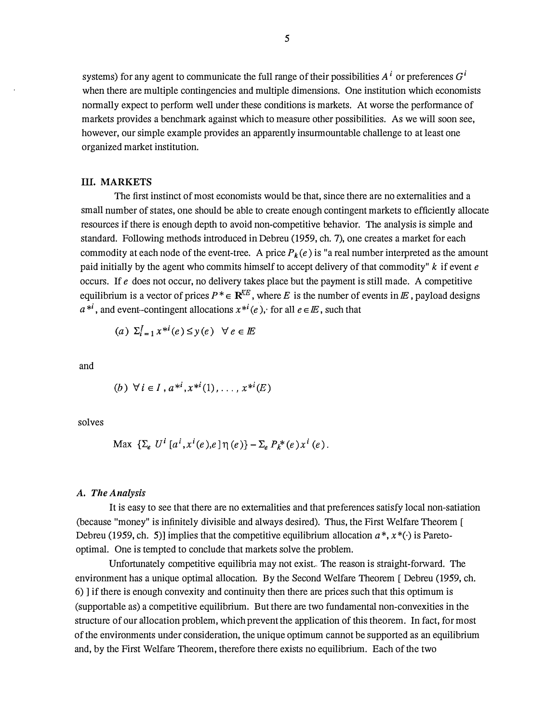systems) for any agent to communicate the full range of their possibilities  $A^i$  or preferences  $G^i$ when there are multiple contingencies and multiple dimensions. One institution which economists normally expect to perform well under these conditions is markets. At worse the performance of markets provides a benchmark against which to measure other possibilities. As we will soon see, however, our simple example provides an apparently insurmountable challenge to at least one organized market institution.

#### III. MARKETS

The first instinct of most economists would be that, since there are no externalities and a small number of states, one should be able to create enough contingent markets to efficiently allocate resources if there is enough depth to avoid non-competitive behavior. The analysis is simple and standard. Following methods introduced in Debreu (1959, ch. 7), one creates a market for each commodity at each node of the event-tree. A price  $P_k(e)$  is "a real number interpreted as the amount paid initially by the agent who commits himself to accept delivery of that commodity"  $k$  if event  $e$ occurs. If e does not occur, no delivery takes place but the payment is still made. A competitive equilibrium is a vector of prices  $P^* \in \mathbb{R}^{KE}$ , where E is the number of events in E, payload designs  $a^{*i}$ , and event-contingent allocations  $x^{*i}(e)$ , for all  $e \in E$ , such that

$$
(a) \ \Sigma_{i=1}^I x^{*i}(e) \leq y(e) \ \ \forall \ e \in E
$$

and

(b) 
$$
\forall i \in I, a^{*i}, x^{*i}(1), \ldots, x^{*i}(E)
$$

solves

$$
\text{Max } \{ \Sigma_e \ U^i \ [a^i, x^i(e), e] \eta(e) \} - \Sigma_e P_k^*(e) x^i(e).
$$

#### A. The Analysis

It is easy to see that there are no externalities and that preferences satisfy local non-satiation (because "money" is infinitely divisible and always desired). Thus, the First Welfare Theorem [ Debreu (1959, ch. 5)] implies that the competitive equilibrium allocation  $a^*, x^*(\cdot)$  is Paretooptimal. One is tempted to conclude that markets solve the problem.

Unfortunately competitive equilibria may not exist. The reason is straight-forward. The environment has a unique optimal allocation. By the Second Welfare Theorem [ Debreu (1959, ch. 6) ] if there is enough convexity and continuity then there are prices such that this optimum is (supportable as) a competitive equilibrium. But there are two fundamental non-convexities in the structure of our allocation problem, which prevent the application of this theorem. In fact, for most of the environments under consideration, the unique optimum cannot be supported as an equilibrium and, by the First Welfare Theorem, therefore there exists no equilibrium. Each of the two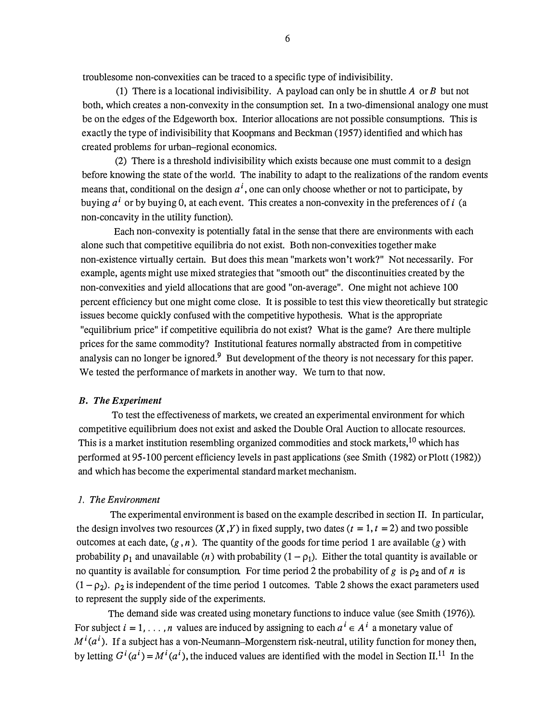troublesome non-convexities can be traced to a specific type of indivisibility.

(1) There is a locational indivisibility. A payload can only be in shuttle A or B but not both, which creates a non-convexity in the consumption set. In a two-dimensional analogy one must be on the edges of the Edgeworth box. Interior allocations are not possible consumptions. This is exactly the type of indivisibility that Koopmans and Beckman (1957) identified and which has created problems for urban-regional economics.

(2) There is a threshold indivisibility which exists because one must commit to a design before knowing the state of the world. The inability to adapt to the realizations of the random events means that, conditional on the design  $a^i$ , one can only choose whether or not to participate, by buying  $a^i$  or by buying 0, at each event. This creates a non-convexity in the preferences of i (a non-concavity in the utility function).

Each non-convexity is potentially fatal in the sense that there are environments with each alone such that competitive equilibria do not exist. Both non-convexities together make non-existence virtually certain. But does this mean "markets won't work?" Not necessarily. For example, agents might use mixed strategies that "smooth out" the discontinuities created by the non-convexities and yield allocations that are good "on-average". One might not achieve 100 percent efficiency but one might come close. It is possible to test this view theoretically but strategic issues become quickly confused with the competitive hypothesis. What is the appropriate "equilibrium price" if competitive equilibria do not exist? What is the game? Are there multiple prices for the same commodity? Institutional features normally abstracted from in competitive analysis can no longer be ignored. $9$  But development of the theory is not necessary for this paper. We tested the performance of markets in another way. We turn to that now.

#### B. The Experiment

To test the effectiveness of markets, we created an experimental environment for which competitive equilibrium does not exist and asked the Double Oral Auction to allocate resources. This is a market institution resembling organized commodities and stock markets, <sup>10</sup> which has performed at 95-100 percent efficiency levels in past applications (see Smith (1982) or Plott (1982)) and which has become the experimental standard market mechanism.

#### 1. The Environment

The experimental environment is based on the example described in section II. In particular, the design involves two resources  $(X, Y)$  in fixed supply, two dates  $(t = 1, t = 2)$  and two possible outcomes at each date,  $(g, n)$ . The quantity of the goods for time period 1 are available  $(g)$  with probability  $\rho_1$  and unavailable (*n*) with probability  $(1 - \rho_1)$ . Either the total quantity is available or no quantity is available for consumption. For time period 2 the probability of g is  $\rho_2$  and of n is  $(1 - \rho_2)$ .  $\rho_2$  is independent of the time period 1 outcomes. Table 2 shows the exact parameters used to represent the supply side of the experiments.

The demand side was created using monetary functions to induce value (see Smith (1976)). For subject  $i = 1, \ldots, n$  values are induced by assigning to each  $a^i \in A^i$  a monetary value of  $M^{i}(a^{i})$ . If a subject has a von-Neumann-Morgenstern risk-neutral, utility function for money then, by letting  $G^{i}(a^{i}) = M^{i}(a^{i})$ , the induced values are identified with the model in Section II.<sup>11</sup> In the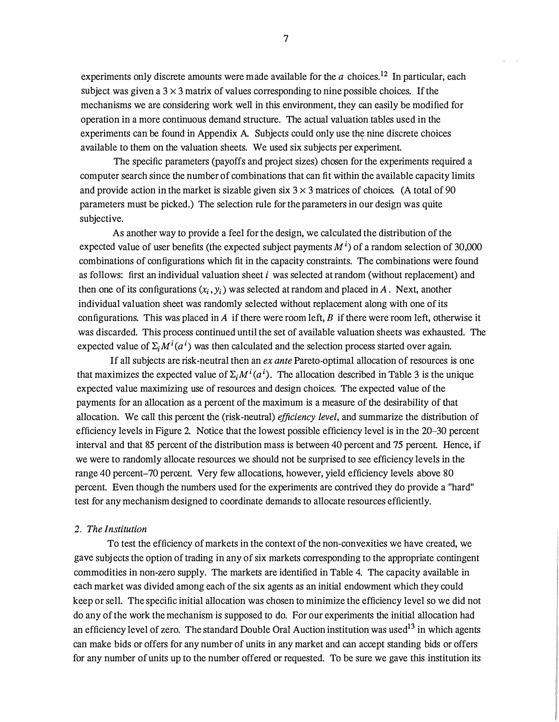experiments only discrete amounts were made available for the  $a$  choices.<sup>12</sup> In particular, each subject was given a  $3 \times 3$  matrix of values corresponding to nine possible choices. If the mechanisms we are considering work well in this environment, they can easily be modified for operation in a more continuous demand structure. The actual valuation tables used in the experiments can be found in Appendix A. Subjects could only use the nine discrete choices available to them on the valuation sheets. We used six subjects per experiment.

The specific parameters (payoffs and project sizes) chosen for the experiments required a computer search since the number of combinations that can fit within the available capacity limits and provide action in the market is sizable given six  $3 \times 3$  matrices of choices. (A total of 90 parameters must be picked.) The selection rule for the parameters in our design was quite subjective.

As another way to provide a feel for the design, we calculated the distribution of the expected value of user benefits (the expected subject payments  $M^{i}$ ) of a random selection of 30,000 combinations of configurations which fit in the capacity constraints. The combinations were found as follows: first an individual valuation sheet  $i$  was selected at random (without replacement) and then one of its configurations  $(x_i, y_i)$  was selected at random and placed in A. Next, another individual valuation sheet was randomly selected without replacement along with one of its configurations. This was placed in A if there were room left, B if there were room left, otherwise it was discarded. This process continued until the set of available valuation sheets was exhausted. The expected value of  $\Sigma_i M^i(a^i)$  was then calculated and the selection process started over again.

If all subjects are risk-neutral then an  $ex$  ante Pareto-optimal allocation of resources is one that maximizes the expected value of  $\Sigma_i M^i(a^i)$ . The allocation described in Table 3 is the unique expected value maximizing use of resources and design choices. The expected value of the payments for an allocation as a percent of the maximum is a measure of the desirability of that allocation. We call this percent the (risk-neutral) *efficiency level*, and summarize the distribution of efficiency levels in Figure 2. Notice that the lowest possible efficiency level is in the 20--30 percent interval and that 85 percent of the distribution mass is between 40 percent and 75 percent. Hence, if we were to randomly allocate resources we should not be surprised to see efficiency levels in the range 40 percent-70 percent. Very few allocations, however, yield efficiency levels above 80 percent. Even though the numbers used for the experiments are contrived they do provide a "hard" test for any mechanism designed to coordinate demands to allocate resources efficiently.

#### 2. The Institution

To test the efficiency of markets in the context of the non-convexities we have created, we gave subjects the option of trading in any of six markets corresponding to the appropriate contingent commodities in non-zero supply. The markets are identified in Table 4. The capacity available in each market was divided among each of the six agents as an initial endowment which they could keep or sell. The specific initial allocation was chosen to minimize the efficiency level so we did not do any of the work the mechanism is supposed to do. For our experiments the initial allocation had an efficiency level of zero. The standard Double Oral Auction institution was used<sup>13</sup> in which agents can make bids or offers for any number of units in any market and can accept standing bids or offers for any number of units up to the number offered or requested. To be sure we gave this institution its

7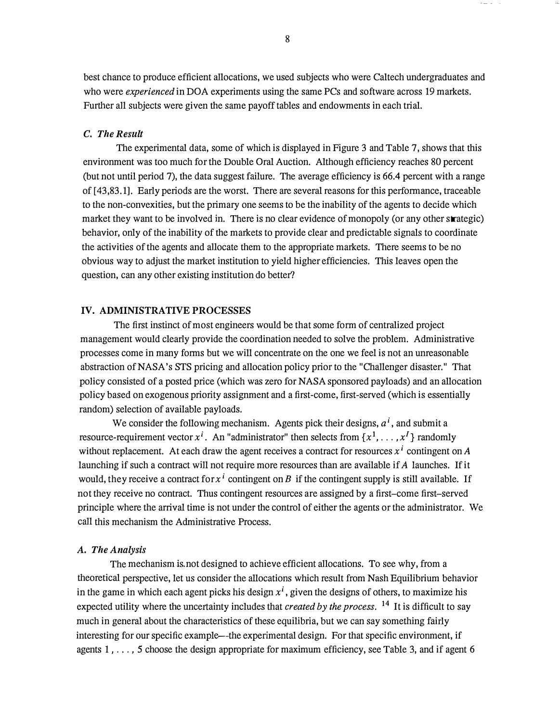best chance to produce efficient allocations, we used subjects who were Caltech undergraduates and who were *experienced* in DOA experiments using the same PCs and software across 19 markets. Further all subjects were given the same payoff tables and endowments in each trial.

#### C. The Result

The experimental data, some of which is displayed in Figure 3 and Table 7, shows that this environment was too much for the Double Oral Auction. Although efficiency reaches 80 percent (but not until period 7), the data suggest failure. The average efficiency is 66.4 percent with a range of [43,83.1]. Early periods are the worst. There are several reasons for this performance, traceable to the non-convexities, but the primary one seems to be the inability of the agents to decide which market they want to be involved in. There is no clear evidence of monopoly (or any other strategic) behavior, only of the inability of the markets to provide clear and predictable signals to coordinate the activities of the agents and allocate them to the appropriate markets. There seems to be no obvious way to adjust the market institution to yield higher efficiencies. This leaves open the question, can any other existing institution do better?

#### IV. ADMINISTRATIVE PROCESSES

The first instinct of most engineers would be that some form of centralized project management would clearly provide the coordination needed to solve the problem. Administrative processes come in many forms but we will concentrate on the one we feel is not an unreasonable abstraction of NASA's STS pricing and allocation policy prior to the "Challenger disaster." That policy consisted of a posted price (which was zero for NASA sponsored payloads) and an allocation policy based on exogenous priority assignment and a first-come, first-served (which is essentially random) selection of available payloads.

We consider the following mechanism. Agents pick their designs,  $a^i$ , and submit a resource-requirement vector  $x^{i}$ . An "administrator" then selects from  $\{x^{1}, \ldots, x^{I}\}$  randomly without replacement. At each draw the agent receives a contract for resources  $x^i$  contingent on A launching if such a contract will not require more resources than are available if A launches. If it would, they receive a contract for  $x^i$  contingent on B if the contingent supply is still available. If not they receive no contract. Thus contingent resources are assigned by a first-come first-served principle where the arrival time is not under the control of either the agents or the administrator. We call this mechanism the Administrative Process.

#### A. The Analysis

The mechanism is not designed to achieve efficient allocations. To see why, from a theoretical perspective, let us consider the allocations which result from Nash Equilibrium behavior in the game in which each agent picks his design  $x<sup>i</sup>$ , given the designs of others, to maximize his expected utility where the uncertainty includes that *created by the process*. <sup>14</sup> It is difficult to say much in general about the characteristics of these equilibria, but we can say something fairly interesting for our specific example—the experimental design. For that specific environment, if agents 1, ..., 5 choose the design appropriate for maximum efficiency, see Table 3, and if agent 6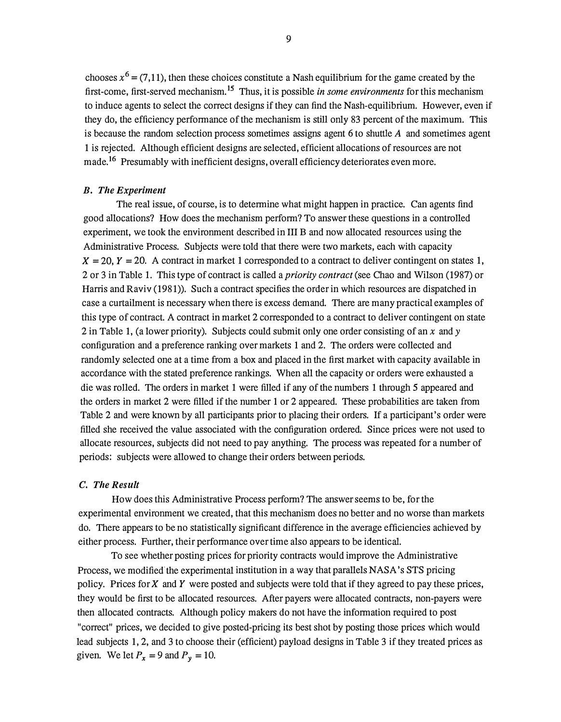chooses  $x^6 = (7, 11)$ , then these choices constitute a Nash equilibrium for the game created by the first-come, first-served mechanism.<sup>15</sup> Thus, it is possible *in some environments* for this mechanism to induce agents to select the correct designs if they can find the Nash-equilibrium. However, even if they do, the efficiency performance of the mechanism is still only 83 percent of the maximum. This is because the random selection process sometimes assigns agent 6 to shuttle  $\vec{A}$  and sometimes agent 1 is rejected. Although efficient designs are selected, efficient allocations of resources are not made.<sup>16</sup> Presumably with inefficient designs, overall efficiency deteriorates even more.

#### B. The Experiment

The real issue, of course, is to determine what might happen in practice. Can agents find good allocations? How does the mechanism perform? To answer these questions in a controlled experiment, we took the environment described in III B and now allocated resources using the Administrative Process. Subjects were told that there were two markets, each with capacity  $X = 20$ ,  $Y = 20$ . A contract in market 1 corresponded to a contract to deliver contingent on states 1, 2 or 3 in Table 1. This type of contract is called a *priority contract* (see Chao and Wilson (1987) or Harris and Raviv (1981)). Such a contract specifies the order in which resources are dispatched in case a curtailment is necessary when there is excess demand. There are many practical examples of this type of contract. A contract in market 2 corresponded to a contract to deliver contingent on state 2 in Table 1, (a lower priority). Subjects could submit only one order consisting of an x and y configuration and a preference ranking over markets 1 and 2. The orders were collected and randomly selected one at a time from a box and placed in the first market with capacity available in accordance with the stated preference rankings. When all the capacity or orders were exhausted a die was rolled. The orders in market 1 were filled if any of the numbers 1 through 5 appeared and the orders in market 2 were filled if the number 1 or 2 appeared. These probabilities are taken from Table 2 and were known by all participants prior to placing their orders. If a participant's order were filled she received the value associated with the configuration ordered. Since prices were not used to allocate resources, subjects did not need to pay anything. The process was repeated for a number of periods: subjects were allowed to change their orders between periods.

#### C. The Result

How does this Administrative Process perform? The answer seems to be, for the experimental environment we created, that this mechanism does no better and no worse than markets do. There appears to be no statistically significant difference in the average efficiencies achieved by either process. Further, their performance over time also appears to be identical.

To see whether posting prices for priority contracts would improve the Administrative Process, we modified'the experimental institution in a way that parallels NASA's STS pricing policy. Prices for  $X$  and  $Y$  were posted and subjects were told that if they agreed to pay these prices, they would be first to be allocated resources. After payers were allocated contracts, non-payers were then allocated contracts. Although policy makers do not have the information required to post "correct" prices, we decided to give posted-pricing its best shot by posting those prices which would lead subjects 1, 2, and 3 to choose their (efficient) payload designs in Table 3 if they treated prices as given. We let  $P_x = 9$  and  $P_y = 10$ .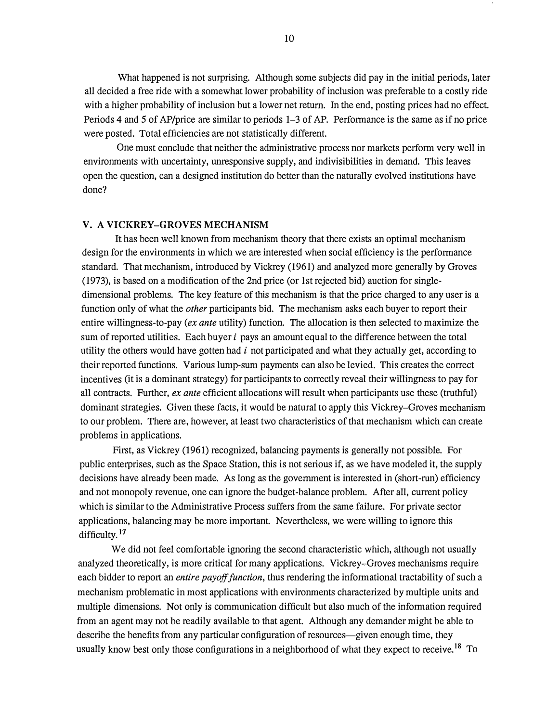What happened is not surprising. Although some subjects did pay in the initial periods, later all decided a free ride with a somewhat lower probability of inclusion was preferable to a costly ride with a higher probability of inclusion but a lower net return. In the end, posting prices had no effect. Periods 4 and 5 of AP/price are similar to periods 1-3 of AP. Performance is the same as if no price were posted. Total efficiencies are not statistically different.

One must conclude that neither the administrative process nor markets perform very well in environments with uncertainty, unresponsive supply, and indivisibilities in demand. This leaves open the question, can a designed institution do better than the naturally evolved institutions have done?

#### V. A VICKREY-GROVES MECHANISM

It has been well known from mechanism theory that there exists an optimal mechanism design for the environments in which we are interested when social efficiency is the performance standard. That mechanism, introduced by Vickrey (1961) and analyzed more generally by Groves (1973), is based on a modification of the 2nd price (or 1st rejected bid) auction for singledimensional problems. The key feature of this mechanism is that the price charged to any user is a function only of what the *other* participants bid. The mechanism asks each buyer to report their entire willingness-to-pay (ex ante utility) function. The allocation is then selected to maximize the sum of reported utilities. Each buyer  $i$  pays an amount equal to the difference between the total utility the others would have gotten had  $i$  not participated and what they actually get, according to their reported functions. Various lump-sum payments can also be levied. This creates the correct incentives (it is a dominant strategy) for participants to correctly reveal their willingness to pay for all contracts. Further, ex ante efficient allocations will result when participants use these (truthful) dominant strategies. Given these facts, it would be natural to apply this Vickrey-Groves mechanism to our problem. There are, however, at least two characteristics of that mechanism which can create problems in applications.

First, as Vickrey (1961) recognized, balancing payments is generally not possible. For public enterprises, such as the Space Station, this is not serious if, as we have modeled it, the supply decisions have already been made. As long as the government is interested in (short-run) efficiency and not monopoly revenue, one can ignore the budget-balance problem. After all, current policy which is similar to the Administrative Process suffers from the same failure. For private sector applications, balancing may be more important. Nevertheless, we were willing to ignore this difficulty.<sup>17</sup>

We did not feel comfortable ignoring the second characteristic which, although not usually analyzed theoretically, is more critical for many applications. Vickrey-Groves mechanisms require each bidder to report an *entire payoff function*, thus rendering the informational tractability of such a mechanism problematic in most applications with environments characterized by multiple units and multiple dimensions. Not only is communication difficult but also much of the information required from an agent may not be readily available to that agent. Although any demander might be able to describe the benefits from any particular configuration of resources—given enough time, they usually know best only those configurations in a neighborhood of what they expect to receive.<sup>18</sup> To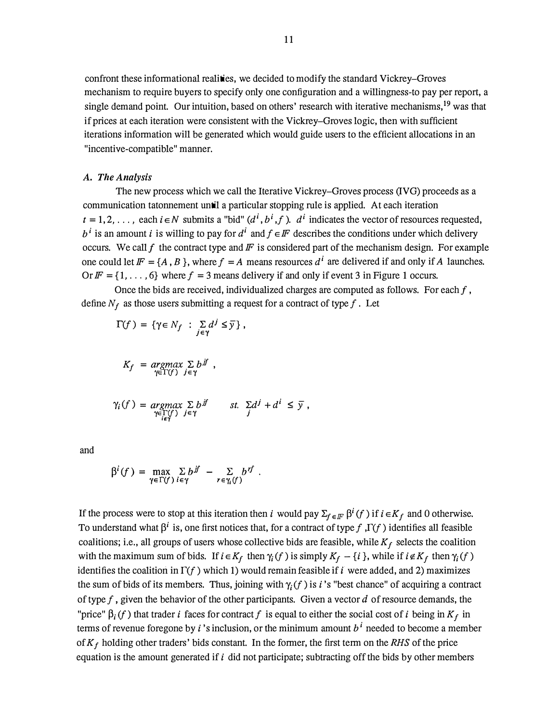confront these informational realities, we decided to modify the standard Vickrey–Groves mechanism to require buyers to specify only one configuration and a willingness-to pay per report, a single demand point. Our intuition, based on others' research with iterative mechanisms, <sup>19</sup> was that if prices at each iteration were consistent with the Vickrey-Groves logic, then with sufficient iterations information will be generated which would guide users to the efficient allocations in an "incentive-compatible" manner.

#### A. The Analysis

The new process which we call the Iterative Vickrey-Groves process (IVG) proceeds as a communication tatonnement until a particular stopping rule is applied. At each iteration  $t = 1, 2, \ldots$ , each  $i \in N$  submits a "bid"  $(d^i, b^i, f)$ .  $d^i$  indicates the vector of resources requested,  $b^i$  is an amount *i* is willing to pay for  $d^i$  and  $f \in F$  describes the conditions under which delivery occurs. We call  $f$  the contract type and  $F$  is considered part of the mechanism design. For example one could let  $F = \{A, B\}$ , where  $f = A$  means resources  $d^i$  are delivered if and only if A launches. Or  $\mathbb{F} = \{1, \ldots, 6\}$  where  $f = 3$  means delivery if and only if event 3 in Figure 1 occurs.

Once the bids are received, individualized charges are computed as follows. For each  $f$ , define  $N_f$  as those users submitting a request for a contract of type f. Let

$$
\Gamma(f) = \{ \gamma \in N_f : \sum_{j \in \gamma} d^j \leq \overline{y} \},
$$

$$
K_f = \underset{\gamma \in \Gamma(f)}{\text{argmax}} \sum_{j \in \gamma} b^{jj},
$$

$$
\gamma_i(f) = \underset{\substack{\gamma \in \Gamma(f) \\ i \in \gamma}}{\text{argmax}} \sum_{j \in \gamma} b^{j f} \quad \text{st.} \quad \sum_{j} d^j + d^i \leq \overline{y} \ ,
$$

and

$$
\beta^{i}(f) = \max_{\gamma \in \Gamma(f)} \sum_{i \in \gamma} b^{jf} - \sum_{r \in \gamma_{i}(f)} b^{rf}
$$

If the process were to stop at this iteration then i would pay  $\Sigma_{f \in \mathbb{F}} \beta^{i}(f)$  if  $i \in K_{f}$  and 0 otherwise. To understand what  $\beta^i$  is, one first notices that, for a contract of type f,  $\Gamma(f)$  identifies all feasible coalitions; i.e., all groups of users whose collective bids are feasible, while  $K_f$  selects the coalition with the maximum sum of bids. If  $i \in K_f$  then  $\gamma_i(f)$  is simply  $K_f - \{i\}$ , while if  $i \notin K_f$  then  $\gamma_i(f)$ identifies the coalition in  $\Gamma(f)$  which 1) would remain feasible if i were added, and 2) maximizes the sum of bids of its members. Thus, joining with  $\gamma_i(f)$  is *i*'s "best chance" of acquiring a contract of type f, given the behavior of the other participants. Given a vector  $d$  of resource demands, the "price"  $\beta_i(f)$  that trader i faces for contract f is equal to either the social cost of i being in  $K_f$  in terms of revenue foregone by i's inclusion, or the minimum amount  $b^i$  needed to become a member of  $K_f$  holding other traders' bids constant. In the former, the first term on the RHS of the price equation is the amount generated if  $i$  did not participate; subtracting off the bids by other members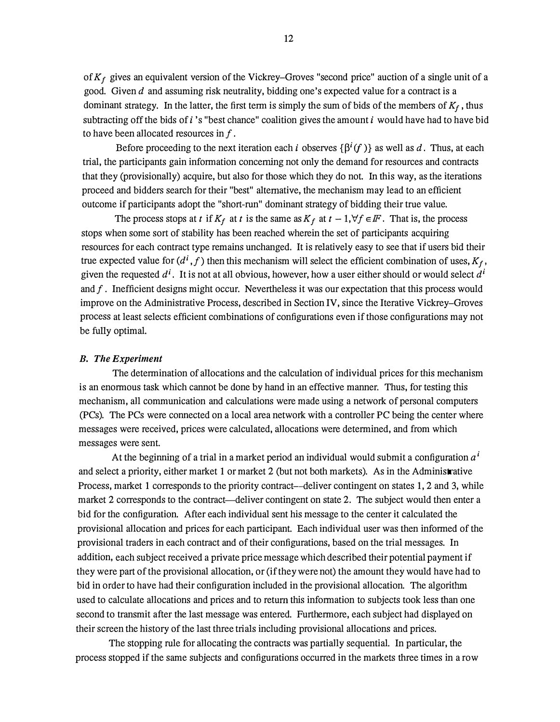of  $K_f$  gives an equivalent version of the Vickrey-Groves "second price" auction of a single unit of a good. Given  $d$  and assuming risk neutrality, bidding one's expected value for a contract is a dominant strategy. In the latter, the first term is simply the sum of bids of the members of  $K_f$ , thus subtracting off the bids of  $i$ 's "best chance" coalition gives the amount  $i$  would have had to have bid to have been allocated resources in f .

Before proceeding to the next iteration each *i* observes  $\{\beta^{i}(f)\}\$ as well as *d*. Thus, at each trial, the participants gain information concerning not only the demand for resources and contracts that they (provisionally) acquire, but also for those which they do not. In this way, as the iterations proceed and bidders search for their "best" alternative, the mechanism may lead to an efficient outcome if participants adopt the "short-run" dominant strategy of bidding their true value.

The process stops at t if  $K_f$  at t is the same as  $K_f$  at  $t - 1, \forall f \in F$ . That is, the process stops when some sort of stability has been reached wherein the set of participants acquiring resources for each contract type remains unchanged. It is relatively easy to see that if users bid their true expected value for  $(d^i, f)$  then this mechanism will select the efficient combination of uses,  $K_f$ , given the requested  $d^i$ . It is not at all obvious, however, how a user either should or would select  $d^i$ and  $f$ . Inefficient designs might occur. Nevertheless it was our expectation that this process would improve on the Administrative Process, described in Section IV, since the Iterative Vickrey-Groves process at least selects efficient combinations of configurations even if those configurations may not be fully optimal.

#### B. The Experiment

The determination of allocations and the calculation of individual prices for this mechanism is an enormous task which cannot be done by hand in an effective manner. Thus, for testing this mechanism, all communication and calculations were made using a network of personal computers (PCs). The PCs were connected on a local area network with a controller PC being the center where messages were received, prices were calculated, allocations were determined, and from which messages were sent.

At the beginning of a trial in a market period an individual would submit a configuration  $a<sup>i</sup>$ and select a priority, either market 1 or market 2 (but not both markets). As in the Administrative Process, market 1 corresponds to the priority contract—deliver contingent on states 1, 2 and 3, while market 2 corresponds to the contract—deliver contingent on state 2. The subject would then enter a bid for the configuration. After each individual sent his message to the center it calculated the provisional allocation and prices for each participant. Each individual user was then informed of the provisional traders in each contract and of their configurations, based on the trial messages. In addition, each subject received a private price message which described their potential payment if they were part of the provisional allocation, or (if they were not) the amount they would have had to bid in order to have had their configuration included in the provisional allocation. The algorithm used to calculate allocations and prices and to return this information to subjects took less than one second to transmit after the last message was entered. Furthermore, each subject had displayed on their screen the history of the last three trials including provisional allocations and prices.

The stopping rule for allocating the contracts was partially sequential. In particular, the process stopped if the same subjects and configurations occurred in the markets three times in a row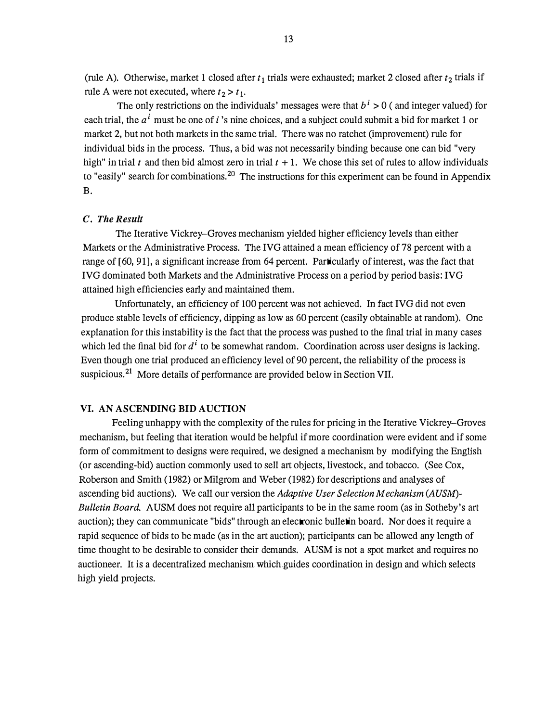(rule A). Otherwise, market 1 closed after  $t_1$  trials were exhausted; market 2 closed after  $t_2$  trials if rule A were not executed, where  $t_2 > t_1$ .

The only restrictions on the individuals' messages were that  $b^i > 0$  (and integer valued) for each trial, the  $a^i$  must be one of i 's nine choices, and a subject could submit a bid for market 1 or market 2, but not both markets in the same trial. There was no ratchet (improvement) rule for individual bids in the process. Thus, a bid was not necessarily binding because one can bid "very high" in trial t and then bid almost zero in trial  $t + 1$ . We chose this set of rules to allow individuals to "easily" search for combinations.<sup>20</sup> The instructions for this experiment can be found in Appendix B.

#### C. The Result

The Iterative Vickrey-Groves mechanism yielded higher efficiency levels than either Markets or the Administrative Process. The IVG attained a mean efficiency of 78 percent with a range of [60, 91], a significant increase from 64 percent. Particularly of interest, was the fact that IVG dominated both Markets and the Administrative Process on a period by period basis: IVG attained high efficiencies early and maintained them.

Unfortunately, an efficiency of 100 percent was not achieved. In fact IVG did not even produce stable levels of efficiency, dipping as low as 60 percent (easily obtainable at random). One explanation for this instability is the fact that the process was pushed to the final trial in many cases which led the final bid for  $d^i$  to be somewhat random. Coordination across user designs is lacking. Even though one trial produced an efficiency level of 90 percent, the reliability of the process is suspicious.<sup>21</sup> More details of performance are provided below in Section VII.

#### VI. AN ASCENDING BID AUCTION

Feeling unhappy with the complexity of the rules for pricing in the Iterative Vickrey-Groves mechanism, but feeling that iteration would be helpful if more coordination were evident and if some form of commitment to designs were required, we designed a mechanism by modifying the English (or ascending-bid) auction commonly used to sell art objects, livestock, and tobacco. (See Cox, Roberson and Smith (1982) or Milgrom and Weber (1982) for descriptions and analyses of ascending bid auctions). We call our version the Adaptive User Selection Mechanism (AUSM)-Bulletin Board. AUSM does not require all participants to be in the same room (as in Sotheby's art auction); they can communicate "bids" through an electronic bulletin board. Nor does it require a rapid sequence of bids to be made (as in the art auction); participants can be allowed any length of time thought to be desirable to consider their demands. AUSM is not a spot market and requires no auctioneer. It is a decentralized mechanism which.guides coordination in.design and which selects high yield projects.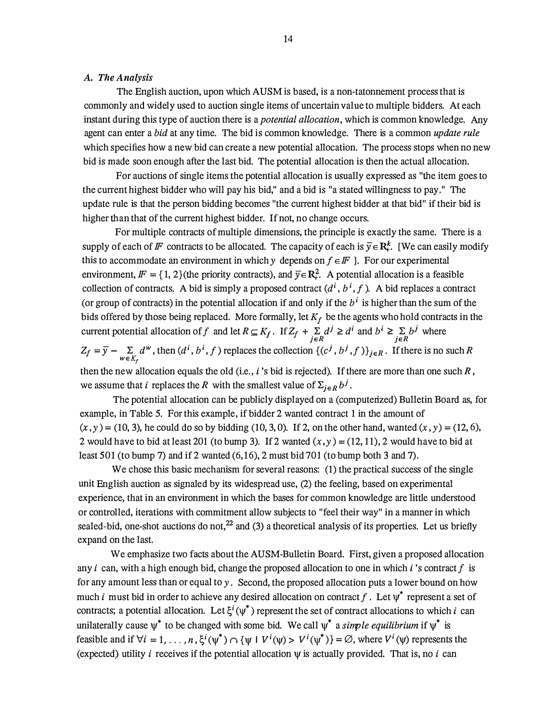#### A. The Analysis

The English auction, upon which AUSM is based, is a non-tatonnement process that is commonly and widely used to auction single items of uncertain value to multiple bidders. At each instant during this type of auction there is a *potential allocation*, which is common knowledge. Any agent can enter a bid at any time. The bid is common knowledge. There is a common update rule which specifies how a new bid can create a new potential allocation. The process stops when no new bid is made soon enough after the last bid. The potential allocation is then the actual allocation.

For auctions of single items the potential allocation is usually expressed as "the item goes to the current highest bidder who will pay his bid," and a bid is "a stated willingness to pay." The update rule is that the person bidding becomes "the current highest bidder at that bid" if their bid is higher than that of the current highest bidder. If not, no change occurs.

For multiple contracts of multiple dimensions, the principle is exactly the same. There is a supply of each of F contracts to be allocated. The capacity of each is  $\bar{y} \in \mathbb{R}^k$ . [We can easily modify this to accommodate an environment in which y depends on  $f \in \mathbb{F}$  ]. For our experimental environment,  $\mathbf{F} = \{1, 2\}$  (the priority contracts), and  $\overline{v} \in \mathbb{R}^2$ . A potential allocation is a feasible collection of contracts. A bid is simply a proposed contract  $(d^i, b^i, f)$ . A bid replaces a contract (or group of contracts) in the potential allocation if and only if the  $b^i$  is higher than the sum of the bids offered by those being replaced. More formally, let  $K_f$  be the agents who hold contracts in the current potential allocation of f and let  $R \subseteq K_f$ . If  $Z_f + \sum_{j \in R} d^j \ge d^i$  and  $b^i \ge \sum_{j \in R} b^j$  where  $Z_f = \overline{y} - \sum_{w \in K_f} d^w$ , then  $(d^i, b^i, f)$  replaces the collection  $\{(c^j, b^j, f)\}_{j \in R}$ . If there is no such R then the new allocation equals the old (i.e.,  $i$ 's bid is rejected). If there are more than one such  $R$ , we assume that *i* replaces the R with the smallest value of  $\Sigma_{j \in R} b^j$ .

The potential allocation can be publicly displayed on a (computerized) Bulletin Board as, for example, in Table 5. For this example, if bidder 2 wanted contract 1 in the amount of  $(x, y) = (10, 3)$ , he could do so by bidding (10, 3, 0). If 2, on the other hand, wanted  $(x, y) = (12, 6)$ , 2 would have to bid at least 201 (to bump 3). If 2 wanted  $(x, y) = (12, 11)$ , 2 would have to bid at least 501 (to bump 7) and if 2 wanted (6,16), 2 must bid 701 (to bump both 3 and 7).

We chose this basic mechanism for several reasons: (1) the practical success of the single unit English auction as signaled by its widespread use, (2) the feeling, based on experimental experience, that in an environment in which the bases for common knowledge are little understood or controlled, iterations with commitment allow subjects to "feel their way" in a manner in which sealed-bid, one-shot auctions do not,  $^{22}$  and (3) a theoretical analysis of its properties. Let us briefly expand on the last.

We emphasize two facts about the AUSM-Bulletin Board. First, given a proposed allocation any i can, with a high enough bid, change the proposed allocation to one in which i's contract f is for any amount less than or equal to  $y$ . Second, the proposed allocation puts a lower bound on how much *i* must bid in order to achieve any desired allocation on contract f. Let  $\psi^*$  represent a set of contracts; a potential allocation. Let  $\xi^{i}(\psi^*)$  represent the set of contract allocations to which i can unilaterally cause  $\psi^*$  to be changed with some bid. We call  $\psi^*$  a *simple equilibrium* if  $\psi^*$  is feasible and if  $\forall i = 1, ..., n$ ,  $\xi^{i}(\psi^*) \cap {\{\psi \mid V^{i}(\psi) > V^{i}(\psi^*)\}} = \varnothing$ , where  $V^{i}(\psi)$  represents the (expected) utility i receives if the potential allocation  $\psi$  is actually provided. That is, no i can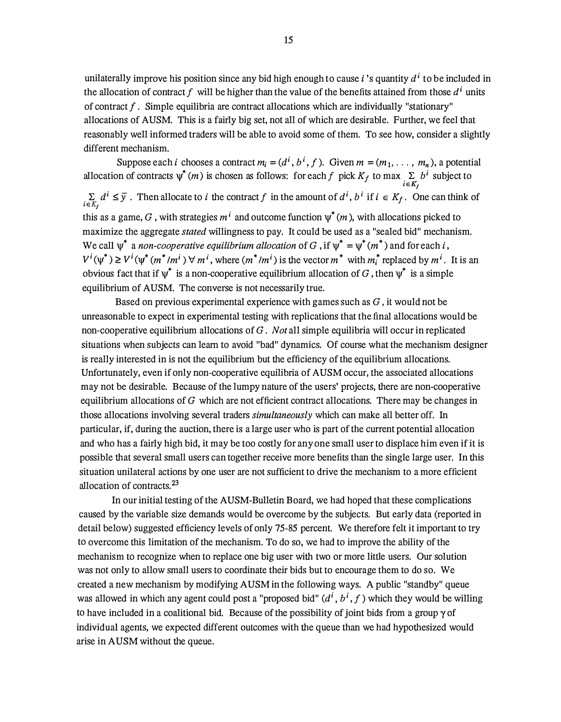unilaterally improve his position since any bid high enough to cause i's quantity  $d^i$  to be included in the allocation of contract f will be higher than the value of the benefits attained from those  $d^i$  units of contract  $f$ . Simple equilibria are contract allocations which are individually "stationary" allocations of AUSM. This is a fairly big set, not all of which are desirable. Further, we feel that reasonably well informed traders will be able to avoid some of them. To see how, consider a slightly different mechanism.

Suppose each *i* chooses a contract  $m_i = (d^i, b^i, f)$ . Given  $m = (m_1, \ldots, m_n)$ , a potential allocation of contracts  $\psi^*(m)$  is chosen as follows: for each f pick  $K_f$  to max  $\sum_{i \in K_f} b^i$  subject to

 $\sum_{i\in K_i} d^i \leq \overline{y}$ . Then allocate to i the contract f in the amount of  $d^i$ ,  $b^i$  if  $i \in K_f$ . One can think of this as a game, G, with strategies  $m<sup>i</sup>$  and outcome function  $\psi^*(m)$ , with allocations picked to maximize the aggregate *stated* willingness to pay. It could be used as a "sealed bid" mechanism. We call  $\psi^*$  a non-cooperative equilibrium allocation of G, if  $\psi^* = \psi^*(m^*)$  and for each i,  $V^i(\psi^*) \ge V^i(\psi^*(m^*/m^i) \forall m^i$ , where  $(m^*/m^i)$  is the vector  $m^*$  with  $m_i^*$  replaced by  $m^i$ . It is an obvious fact that if  $\psi^*$  is a non-cooperative equilibrium allocation of G, then  $\psi^*$  is a simple equilibrium of AUSM. The converse is not necessarily true.

Based on previous experimental experience with games such as  $G$ , it would not be unreasonable to expect in experimental testing with replications that the final allocations would be non-cooperative equilibrium allocations of  $G$ . Not all simple equilibria will occur in replicated situations when subjects can learn to avoid "bad" dynamics. Of course what the mechanism designer is really interested in is not the equilibrium but the efficiency of the equilibrium allocations. Unfortunately, even if only non-cooperative equilibria of AUSM occur, the associated allocations may not be desirable. Because of the lumpy nature of the users' projects, there are non-cooperative equilibrium allocations of  $G$  which are not efficient contract allocations. There may be changes in those allocations involving several traders *simultaneously* which can make all better off. In particular, if, during the auction, there is a large user who is part of the current potential allocation and who has a fairly high bid, it may be too costly for any one small user to displace him even if it is possible that several small users can together receive more benefits than the single large user. In this situation unilateral actions by one user are not sufficient to drive the mechanism to a more efficient allocation of contracts. 23

In our initial testing of the AUSM-Bulletin Board, we had hoped that these complications caused by the variable size demands would be overcome by the subjects. But early data (reported in detail below) suggested efficiency levels of only 75-85 percent. We therefore felt it important to try to overcome this limitation of the mechanism. To do so, we had to improve the ability of the mechanism to recognize when to replace one big user with two or more little users. Our solution was not only to allow small users to coordinate their bids but to encourage them to do so. We created a new mechanism by modifying AUSM in the following ways. A public "standby" queue was allowed in which any agent could post a "proposed bid"  $(d^i, b^i, f)$  which they would be willing to have included in a coalitional bid. Because of the possibility of joint bids from a group  $\gamma$  of individual agents, we expected different outcomes with the queue than we had hypothesized would arise in A USM without the queue.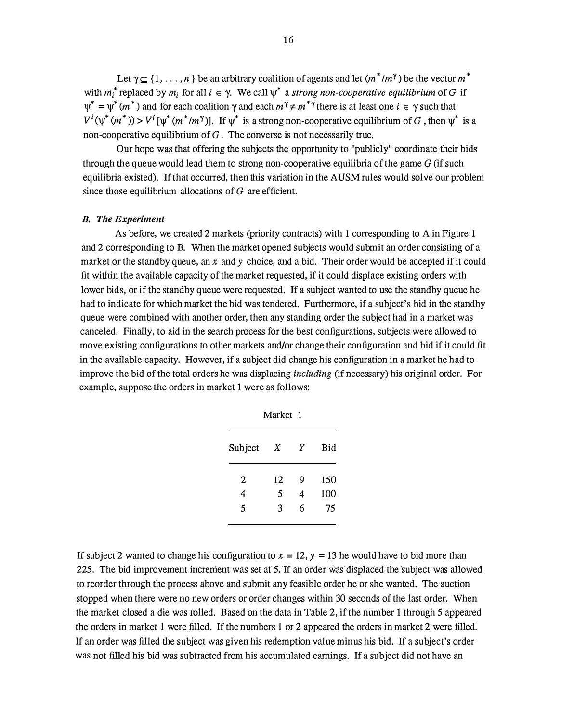Let  $\gamma \subseteq \{1, \ldots, n\}$  be an arbitrary coalition of agents and let  $(m^* / m^{\gamma})$  be the vector  $m^*$ with  $m_i^*$  replaced by  $m_i$  for all  $i \in \gamma$ . We call  $\psi^*$  a strong non-cooperative equilibrium of G if  $\psi^* = \psi^*(m^*)$  and for each coalition  $\gamma$  and each  $m^{\gamma} \neq m^{*\gamma}$  there is at least one  $i \in \gamma$  such that  $V^i(\psi^*(m^*))$  >  $V^i[\psi^*(m^*/m^{\gamma})]$ . If  $\psi^*$  is a strong non-cooperative equilibrium of G, then  $\psi^*$  is a non-cooperative equilibrium of  $G$ . The converse is not necessarily true.

Our hope was that offering the subjects the opportunity to "publicly" coordinate their bids through the queue would lead them to strong non-cooperative equilibria of the game  $G$  (if such equilibria existed). If that occurred, then this variation in the AUSM rules would solve our problem since those equilibrium allocations of  $G$  are efficient.

#### B. The Experiment

As before, we created 2 markets (priority contracts) with 1 corresponding to A in Figure 1 and 2 corresponding to B. When the market opened subjects would submit an order consisting of a market or the standby queue, an x and y choice, and a bid. Their order would be accepted if it could fit within the available capacity of the market requested, if it could displace existing orders with lower bids, or if the standby queue were requested. If a subject wanted to use the standby queue he had to indicate for which market the bid was tendered. Furthermore, if a subject's bid in the standby queue were combined with another order, then any standing order the subject had in a market was canceled. Finally, to aid in the search process for the best configurations, subjects were allowed to move existing configurations to other markets and/or change their configuration and bid if it could fit in the available capacity. However, if a subject did change his configuration in a market he had to improve the bid of the total orders he was displacing including (if necessary) his original order. For example, suppose the orders in market 1 were as follows:

| Subject | Χ  | Υ | Bid |
|---------|----|---|-----|
| 2       | 12 | 9 | 150 |
| 4       | 5  | 4 | 100 |
| 5       | 3  | 6 | 75  |
|         |    |   |     |

If subject 2 wanted to change his configuration to  $x = 12$ ,  $y = 13$  he would have to bid more than 225. The bid improvement increment was set at 5. If an order was displaced the subject was allowed to reorder through the process above and submit any feasible order he or she wanted. The auction stopped when there were no new orders or order changes within 30 seconds of the last order. When the market closed a die was rolled. Based on the data in Table 2, if the number 1 through 5 appeared the orders in market 1 were filled. If the numbers 1 or 2 appeared the orders in market 2 were filled. If an order was filled the subject was given his redemption value minus his bid. If a subject's order was not filled his bid was subtracted from his accumulated earnings. If a subject did not have an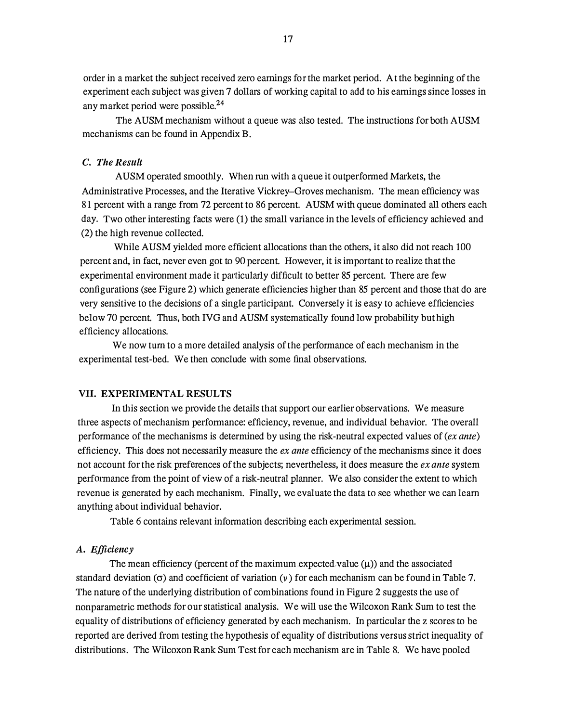order in a market the subject received zero earnings for the market period. At the beginning of the experiment each subject was given 7 dollars of working capital to add to his earnings since losses in any market period were possible.<sup>24</sup>

The AUSM mechanism without a queue was also tested. The instructions for both AUSM mechanisms can be found in Appendix B.

#### C. The Result

AUSM operated smoothly. When run with a queue it outperformed Markets, the Administrative Processes, and the Iterative Vickrey-Groves mechanism. The mean efficiency was 81 percent with a range from 72 percent to 86 percent. AUSM with queue dominated all others each day. Two other interesting facts were (1) the small variance in the levels of efficiency achieved and (2) the high revenue collected.

While AUSM yielded more efficient allocations than the others, it also did not reach 100 percent and, in fact, never even got to 90 percent. However, it is important to realize that the experimental environment made it particularly difficult to better 85 percent. There are few configurations (see Figure 2) which generate efficiencies higher than 85 percent and those that do are very sensitive to the decisions of a single participant. Conversely it is easy to achieve efficiencies below 70 percent. Thus, both IVG and AUSM systematically found low probability but high efficiency allocations.

We now tum to a more detailed analysis of the performance of each mechanism in the experimental test-bed. We then conclude with some final observations.

#### VII. EXPERIMENTAL RESULTS

In this section we provide the details that support our earlier observations. We measure three aspects of mechanism performance: efficiency, revenue, and individual behavior. The overall performance of the mechanisms is determined by using the risk-neutral expected values of  $(ex$  ante) efficiency. This does not necessarily measure the  $ex$  ante efficiency of the mechanisms since it does not account for the risk preferences of the subjects; nevertheless, it does measure the *ex ante* system perf01mance from the point of view of a risk-neutral planner. We also consider the extent to which revenue is generated by each mechanism. Finally, we evaluate the data to see whether we can learn anything about individual behavior.

Table 6 contains relevant information describing each experimental session.

#### A. Efficiency

The mean efficiency (percent of the maximum expected value  $(\mu)$ ) and the associated standard deviation ( $\sigma$ ) and coefficient of variation ( $\nu$ ) for each mechanism can be found in Table 7. The nature of the underlying distribution of combinations found in Figure 2 suggests the use of nonparametric methods for our statistical analysis. We will use the Wilcoxon Rank Sum to test the equality of distributions of efficiency generated by each mechanism. In particular the z scores to be reported are derived from testing the hypothesis of equality of distributions versus strict inequality of distributions. The Wilcoxon Rank Sum Test for each mechanism are in Table 8. We have pooled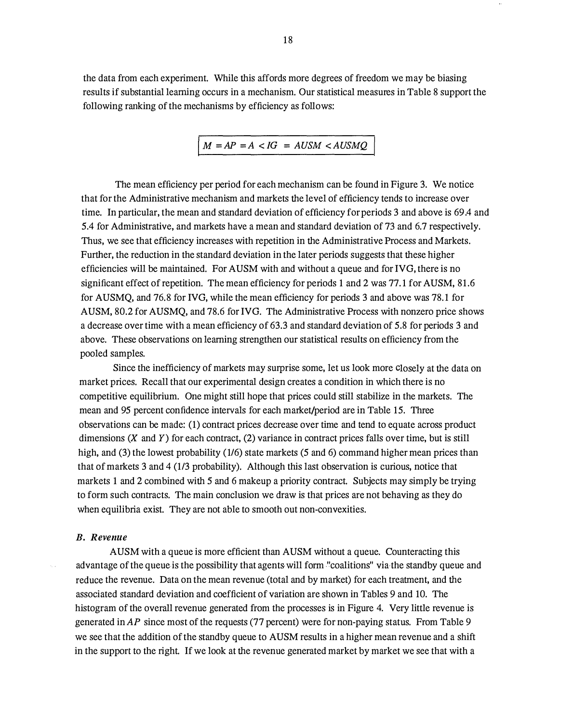the data from each experiment. While this affords more degrees of freedom we may be biasing results if substantial learning occurs in a mechanism. Our statistical measures in Table 8 support the following ranking of the mechanisms by efficiency as follows:

$$
M = AP = A < IG = AUSM < AUSMQ
$$

The mean efficiency per period for each mechanism can be found in Figure 3. We notice that for the Administrative mechanism and markets the level of efficiency tends to increase over time. In particular, the mean and standard deviation of efficiency for periods 3 and above is 69.4 and 5.4 for Administrative, and markets have a mean and standard deviation of 73 and 6.7 respectively. Thus, we see that efficiency increases with repetition in the Administrative Process and Markets. Further, the reduction in the standard deviation in the later periods suggests that these higher efficiencies will be maintained. For AUSM with and without a queue and for IVG, there is no significant effect of repetition. The mean efficiency for periods 1 and 2 was 77.1 for AUSM, 81.6 for AUSMQ, and 76.8 for IVG, while the mean efficiency for periods 3 and above was 78.1 for AUSM, 80.2 for AUSMQ, and 78.6 for IVG. The Administrative Process with nonzero price shows a decrease over time with a mean efficiency of 63.3 and standard deviation of 5.8 for periods 3 and above. These observations on learning strengthen our statistical results on efficiency from the pooled samples.

Since the inefficiency of markets may surprise some, let us look more closely at the data on market prices. Recall that our experimental design creates a condition in which there is no competitive equilibrium. One might still hope that prices could still stabilize in the markets. The mean and 95 percent confidence intervals for each market/period are in Table 15. Three observations can be made: (1) contract prices decrease over time and tend to equate across product dimensions  $(X \text{ and } Y)$  for each contract,  $(2)$  variance in contract prices falls over time, but is still high, and (3) the lowest probability (1/6) state markets (5 and 6) command higher mean prices than that of markets 3 and 4 (113 probability). Although this last observation is curious, notice that markets 1 and 2 combined with 5 and 6 makeup a priority contract. Subjects may simply be trying to form such contracts. The main conclusion we draw is that prices are not behaving as they do when equilibria exist. They are not able to smooth out non-convexities.

#### B. Revenue

AUSM with a queue is more efficient than AUSM without a queue. Counteracting this advantage of the queue is the possibility that agents will form "coalitions" via the standby queue and reduce the revenue. Data on the mean revenue (total and by market) for each treatment, and the associated standard deviation and coefficient of variation are shown in Tables 9 and 10. The histogram of the overall revenue generated from the processes is in Figure 4. Very little revenue is generated in AP since most of the requests (77 percent) were for non-paying status. From Table 9 we see that the addition of the standby queue to AUSM results in a higher mean revenue and a shift in the support to the right. If we look at the revenue generated market by market we see that with a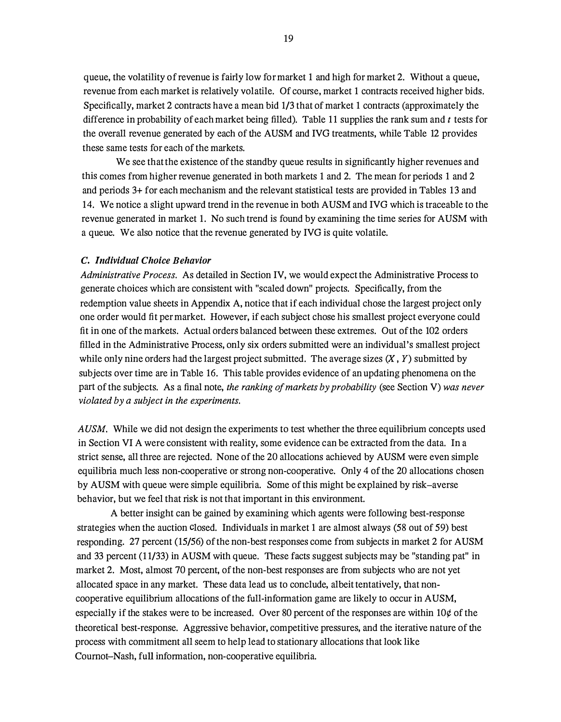queue, the volatility of revenue is fairly low for market 1 and high for market 2. Without a queue, revenue from each market is relatively volatile. Of course, market 1 contracts received higher bids. Specifically, market 2 contracts have a mean bid 1/3 that of market 1 contracts (approximately the difference in probability of each market being filled). Table 11 supplies the rank sum and  $t$  tests for the overall revenue generated by each of the AUSM and IVG treatments, while Table 12 provides these same tests for each of the markets.

We see that the existence of the standby queue results in significantly higher revenues and this comes from higher revenue generated in both markets 1 and 2. The mean for periods 1 and 2 and periods 3+ for each mechanism and the relevant statistical tests are provided in Tables 13 and 14. We notice a slight upward trend in the revenue in both AUSM and IVG which is traceable to the revenue generated in market 1. No such trend is found by examining the time series for AUSM with a queue. We also notice that the revenue generated by IVG is quite volatile.

#### C. Individual Choice Behavior

Administrative Process. As detailed in Section IV, we would expect the Administrative Process to generate choices which are consistent with "scaled down" projects. Specifically, from the redemption value sheets in Appendix A, notice that if each individual chose the largest project only one order would fit per market. However, if each subject chose his smallest project everyone could fit in one of the markets. Actual orders balanced between these extremes. Out of the 102 orders filled in the Administrative Process, only six orders submitted were an individual's smallest project while only nine orders had the largest project submitted. The average sizes  $(X, Y)$  submitted by subjects over time are in Table 16. This table provides evidence of an updating phenomena on the part of the subjects. As a final note, the ranking of markets by probability (see Section V) was never violated by a subject in the experiments.

AUSM. While we did not design the experiments to test whether the three equilibrium concepts used in Section VI A were consistent with reality, some evidence can be extracted from the data. In a strict sense, all three are rejected. None of the 20 allocations achieved by AUSM were even simple equilibria much less non-cooperative or strong non-cooperative. Only 4 of the 20 allocations chosen by A USM with queue were simple equilibria. Some of this might be explained by risk-averse behavior, but we feel that risk is not that important in this environment.

A better insight can be gained by examining which agents were following best-response strategies when the auction closed. Individuals in market 1 are almost always (58 out of 59) best responding. 27 percent (15/56) of the non-best responses come from subjects in market 2 for AUSM and 33 percent (11/33) in AUSM with queue. These facts suggest subjects may be "standing pat" in market 2. Most, almost 70 percent, of the non-best responses are from subjects who are not yet allocated space in any market. These data lead us to conclude, albeit tentatively, that noncooperative equilibrium allocations of the full-information game are likely to occur in AUSM, especially if the stakes were to be increased. Over 80 percent of the responses are within 10¢ of the theoretical best-response. Aggressive behavior, competitive pressures, and the iterative nature of the process with commitment all seem to help lead to stationary allocations that look like Cournot-Nash, full information, non-cooperative equilibria.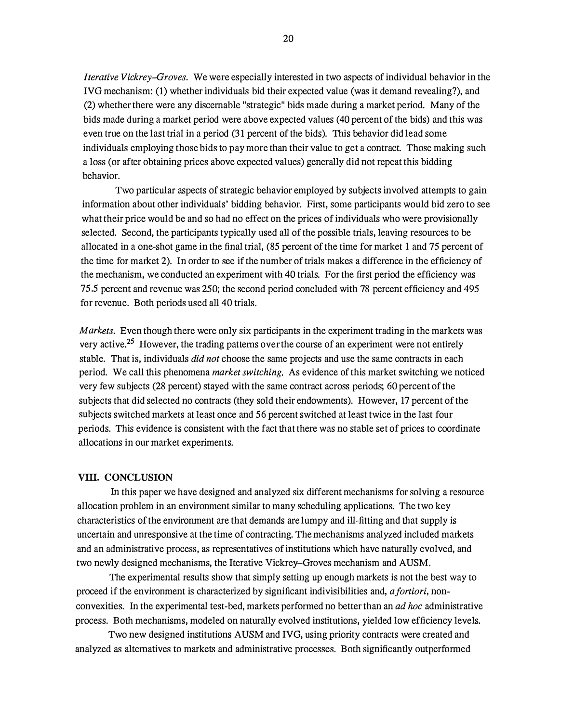Iterative Vickrey-Groves. We were especially interested in two aspects of individual behavior in the IVG mechanism: (1) whether individuals bid their expected value (was it demand revealing?), and (2) whether there were any discernable "strategic" bids made during a market period. Many of the bids made during a market period were above expected values ( 40 percent of the bids) and this was even true on the last trial in a period (31 percent of the bids). This behavior did lead some individuals employing those bids to pay more than their value to get a contract. Those making such a loss (or after obtaining prices above expected values) generally did not repeat this bidding behavior.

Two particular aspects of strategic behavior employed by subjects involved attempts to gain information about other individuals' bidding behavior. First, some participants would bid zero to see what their price would be and so had no effect on the prices of individuals who were provisionally selected. Second, the participants typically used all of the possible trials, leaving resources to be allocated in a one-shot game in the final trial, (85 percent of the time for market 1 and 75 percent of the time for market 2). In order to see if the number of trials makes a difference in the efficiency of the mechanism, we conducted an experiment with 40 trials. For the first period the efficiency was 75.5 percent and revenue was 250; the second period concluded with 78 percent efficiency and 495 for revenue. Both periods used all 40 trials.

Markets. Even though there were only six participants in the experiment trading in the markets was very active.<sup>25</sup> However, the trading patterns over the course of an experiment were not entirely stable. That is, individuals did not choose the same projects and use the same contracts in each period. We call this phenomena market switching. As evidence of this market switching we noticed very few subjects (28 percent) stayed with the same contract across periods; 60 percent of the subjects that did selected no contracts (they sold their endowments). However, 17 percent of the subjects switched markets at least once and 56 percent switched at least twice in the last four periods. This evidence is consistent with the fact that there was no stable set of prices to coordinate allocations in our market experiments.

#### VIII. CONCLUSION

In this paper we have designed and analyzed six different mechanisms for solving a resource allocation problem in an environment similar to many scheduling applications. The two key characteristics of the environment are that demands are lumpy and ill-fitting and that supply is uncertain and unresponsive at the time of contracting. The mechanisms analyzed included markets and an administrative process, as representatives of institutions which have naturally evolved, and two newly designed mechanisms, the Iterative Vickrey-Groves mechanism and AUSM.

The experimental results show that simply setting up enough markets is not the best way to proceed if the environment is characterized by significant indivisibilities and, a fortiori, nonconvexities. In the experimental test-bed, markets performed no better than an ad hoc administrative process. Both mechanisms, modeled on naturally evolved institutions, yielded low efficiency levels.

Two new designed institutions AUSM and IVG, using priority contracts were created and analyzed as alternatives to markets and administrative processes. Both significantly outperformed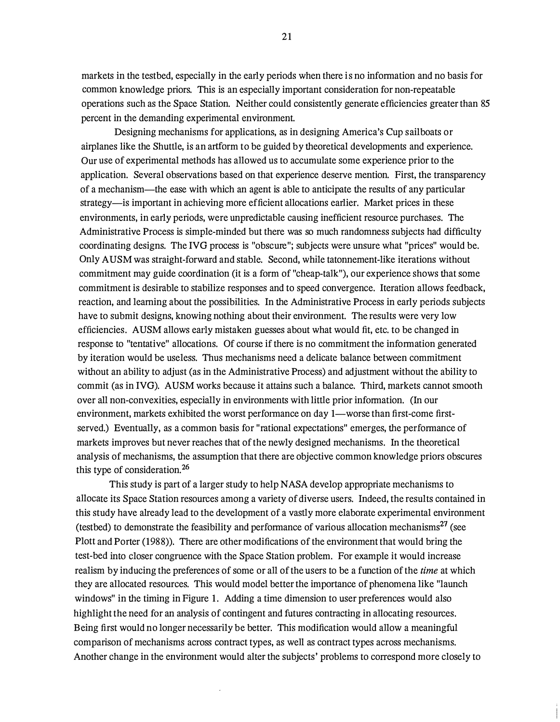markets in the testbed, especially in the early periods when there is no information and no basis for common knowledge priors. This is an especially important consideration for non-repeatable operations such as the Space Station. Neither could consistently generate efficiencies greater than 85 percent in the demanding experimental environment.

Designing mechanisms for applications, as in designing America's Cup sailboats or airplanes like the Shuttle, is an artform to be guided by theoretical developments and experience. Our use of experimental methods has allowed us to accumulate some experience prior to the application. Several observations based on that experience deserve mention. First, the transparency of a mechanism-the ease with which an agent is able to anticipate the results of any particular strategy—is important in achieving more efficient allocations earlier. Market prices in these environments, in early periods, were unpredictable causing inefficient resource purchases. The Administrative Process is simple-minded but there was so much randomness subjects had difficulty coordinating designs. The IVG process is "obscure"; subjects were unsure what "prices" would be. Only AUSM was straight-forward and stable. Second, while tatonnement-like iterations without commitment may guide coordination (it is a form of "cheap-talk"), our experience shows that some commitment is desirable to stabilize responses and to speed convergence. Iteration allows feedback, reaction, and learning about the possibilities. In the Administrative Process in early periods subjects have to submit designs, knowing nothing about their environment. The results were very low efficiencies. AUSM allows early mistaken guesses about what would fit, etc. to be changed in response to "tentative" allocations. Of course if there is no commitment the information generated by iteration would be useless. Thus mechanisms need a delicate balance between commitment without an ability to adjust (as in the Administrative Process) and adjustment without the ability to commit (as in IVG). AUSM works because it attains such a balance. Third, markets cannot smooth over all non-convexities, especially in environments with little prior information. (In our environment, markets exhibited the worst performance on day 1-worse than first-come firstserved.) Eventually, as a common basis for "rational expectations" emerges, the performance of markets improves but never reaches that of the newly designed mechanisms. In the theoretical analysis of mechanisms, the assumption that there are objective common knowledge priors obscures this type of consideration.2<sup>6</sup>

This study is part of a larger study to help NASA develop appropriate mechanisms to allocate its Space Station resources among a variety of diverse users. Indeed, the results contained in this study have already lead to the development of a vastly more elaborate experimental environment (testbed) to demonstrate the feasibility and performance of various allocation mechanisms $^{27}$  (see Plott and Porter (1988)). There are other modifications of the environment that would bring the test-bed into closer congruence with the Space Station problem. For example it would increase realism by inducing the preferences of some or all of the users to be a function of the time at which they are allocated resources. This would model better the importance of phenomena like "launch windows" in the timing in Figure 1. Adding a time dimension to user preferences would also highlight the need for an analysis of contingent and futures contracting in allocating resources. Being first would no longer necessarily be better. This modification would allow a meaningful comparison of mechanisms across contract types, as well as contract types across mechanisms. Another change in the environment would alter the subjects' problems to correspond more closely to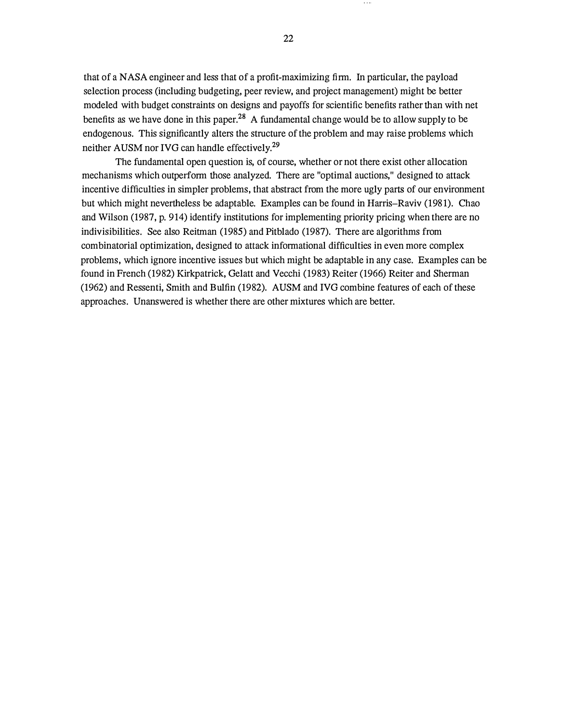that of a NASA engineer and less that of a profit-maximizing firm. In particular, the payload selection process (including budgeting, peer review, and project management) might be better modeled with budget constraints on designs and payoffs for scientific benefits rather than with net benefits as we have done in this paper.<sup>28</sup> A fundamental change would be to allow supply to be endogenous. This significantly alters the structure of the problem and may raise problems which neither AUSM nor IVG can handle effectively.<sup>29</sup>

The fundamental open question is, of course, whether or not there exist other allocation mechanisms which outperform those analyzed. There are "optimal auctions," designed to attack incentive difficulties in simpler problems, that abstract from the more ugly parts of our environment but which might nevertheless be adaptable. Examples can be found in Harris-Raviv (1981). Chao and Wilson (1987, p. 914) identify institutions for implementing priority pricing when there are no indivisibilities. See also Reitman (1985) and Pitblado (1987). There are algorithms from combinatorial optimization, designed to attack informational difficulties in even more complex problems, which ignore incentive issues but which might be adaptable in any case. Examples can be found in French (1982) Kirkpatrick, Gelatt and Vecchi (1983) Reiter (1966) Reiter and Sherman (1962) and Ressenti, Smith and Bulfin (1982). AUSM and IVG combine features of each of these approaches. Unanswered is whether there are other mixtures which are better.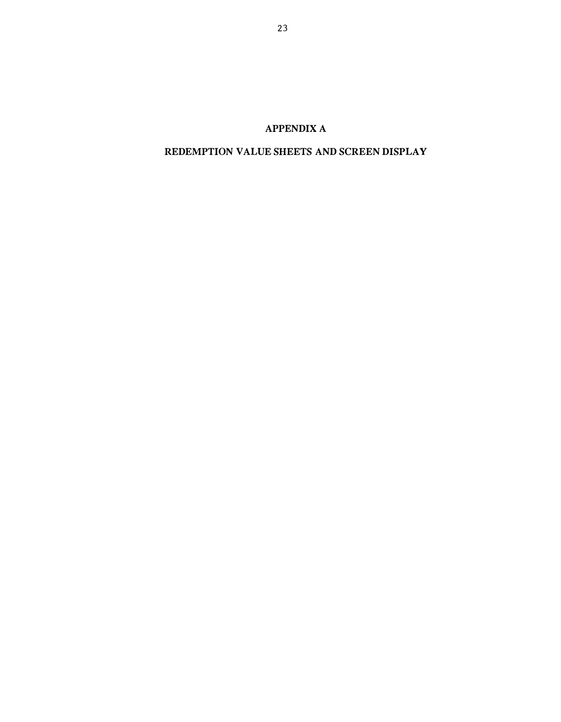# APPENDIX A

## REDEMPTION VALUE SHEETS AND SCREEN DISPLAY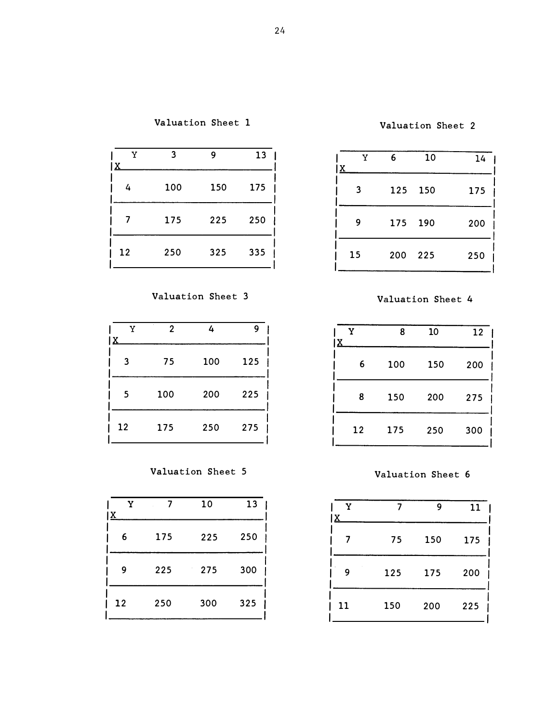| v<br>'Χ | વ   | 9   | 13  |
|---------|-----|-----|-----|
| 4       | 100 | 150 | 175 |
|         | 175 | 225 | 250 |
| -12     | 250 | 325 | 335 |

Valuation Sheet 3 Valuation Sheet 4

| v  | 2   | 4   | 9   | v<br>$\mathbf{x}$ | 8   | 10  |
|----|-----|-----|-----|-------------------|-----|-----|
| 3  | 75  | 100 | 125 | $6\overline{6}$   | 100 | 150 |
| 5  | 100 | 200 | 225 | 8                 | 150 | 200 |
| 12 | 175 | 250 | 275 | 12                | 175 | 250 |

Valuation Sheet 5 Valuation Sheet 6

| Y<br>$\mathbf{x}$ |     | 10  | 13  |
|-------------------|-----|-----|-----|
| 6                 | 175 | 225 | 250 |
| 9                 | 225 | 275 | 300 |
| 12                | 250 | 300 | 325 |

Valuation Sheet 2

| Y<br>x | 6       | 10      | 14  |
|--------|---------|---------|-----|
| 3      | 125     | 150     | 175 |
| 9      |         | 175 190 | 200 |
| 15     | 200 225 |         | 250 |

| Y<br>X | 8   | 10  | 12  |
|--------|-----|-----|-----|
| 6      | 100 | 150 | 200 |
| 8      | 150 | 200 | 275 |
| 12     | 175 | 250 | 300 |

| Y<br>١x |     | 9   | 11  |
|---------|-----|-----|-----|
|         | 75  | 150 | 175 |
| 9       | 125 | 175 | 200 |
| 11      | 150 | 200 | 225 |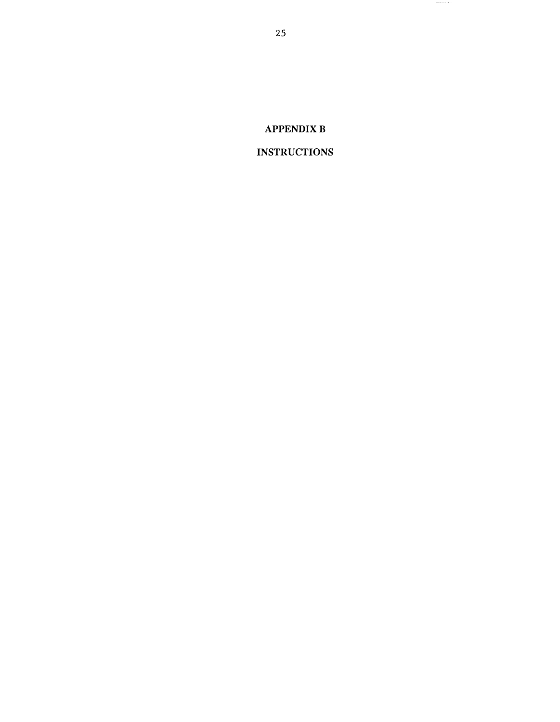# APPENDIX B

# INSTRUCTIONS

25

,,,,,,,,,,,,,,,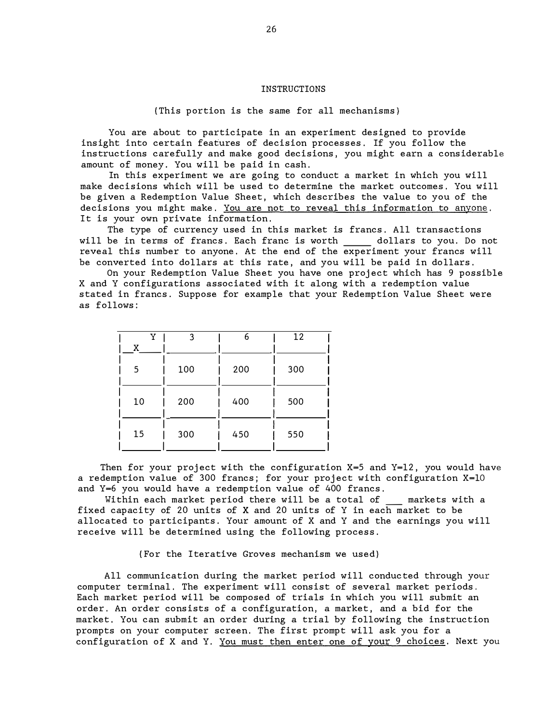#### INSTRUCTIONS

(This portion is the same for all mechanisms)

You are about to participate in an experiment designed to provide insight into certain features of decision processes. If you follow the instructions carefully and make good decisions, you might earn a considerable amount of money. You will be paid in cash.

In this experiment we are going to conduct a market in which you will make decisions which will be used to determine the market outcomes . You will be given a Redemption Value Sheet , which describes the value to you of the decisions you might make. You are not to reveal this information to anyone. It is your own private information.

The type of currency used in this market is francs . All transactions will be in terms of francs. Each franc is worth \_\_\_\_\_ dollars to you. Do not reveal this number to anyone. At the end of the experiment your francs will be converted into dollars at this rate, and you will be paid in dollars.

On your Redemption Value Sheet you have one project which has 9 possible X and Y configurations associated with it along with a redemption value s tated in francs . Suppose for example that your Redemption Value Sheet were as follows :

| Y<br>X | 3   | 6   | 12  |
|--------|-----|-----|-----|
| 5      | 100 | 200 | 300 |
| 10     | 200 | 400 | 500 |
| 15     | 300 | 450 | 550 |

Then for your project with the configuration  $X=5$  and  $Y=12$ , you would have a redemption value of 300 francs; for your project with configuration  $X=10$ and Y=6 you would have a redemp tion value of 400 francs .

Within each market period there will be a total of \_\_ markets with a fixed capacity of 20 units of X and 20 units of Y in each market to be allocated to participants. Your amount of X and Y and the earnings you will receive will be determined using the following process.

{ For the I terative Groves mechanism we used}

All communication during the market period will conduc ted through your computer terminal. The experiment will consist of several market periods. Each market period will be composed of trials in which you will submit an order. An order consists of a configuration, a market, and a bid for the market, You can submit an order during a trial by following the instruction prompts on your computer screen. The first prompt will ask you for a configuration of X and Y. You must then enter one of your 9 choices. Next you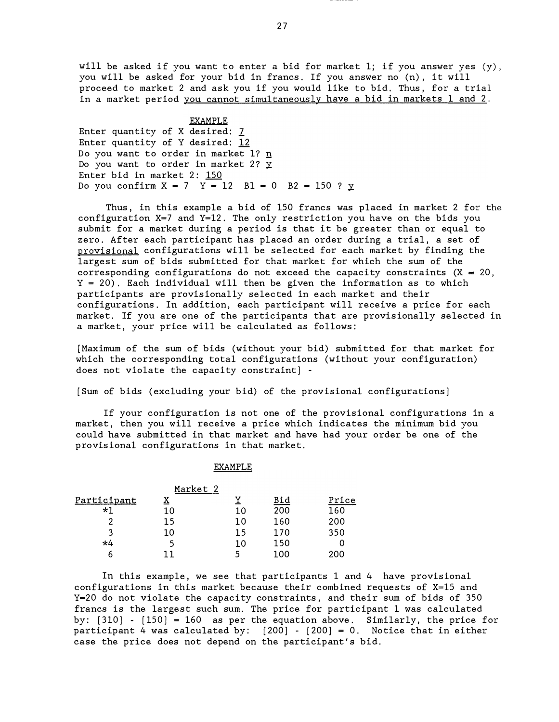will be asked if you want to enter a bid for market 1; if you answer yes  $(y)$ , you will be asked for your bid in francs. If you answer no (n), it will proceed to market 2 and ask you if you would like to bid. Thus, for a trial in a market period you cannot simultaneously have a bid in markets 1 and 2.

EXAMPLE Enter quantity of X desired:  $7$ Enter quantity of Y desired: 12 Do you want to order in market l? n Do you want to order in market 2? Y Enter bid in market 2: 150 Do you confirm  $X = 7$   $Y = 12$   $B1 = 0$   $B2 = 150$  ?  $Y = 12$ 

Thus, in this example a bid of 150 francs was placed in market 2 for the configuration  $X=7$  and  $Y=12$ . The only restriction you have on the bids you submit for a market during a period is that it be greater than or equal to zero. After each participant has placed an order during a trial, a set of provisional configurations will be selected for each market by finding the largest sum of bids submitted for that market for which the sum of the corresponding configurations do not exceed the capacity constraints  $(X = 20)$ , Y = 20) . Each individual will then be given the information as to which participants are provisionally selected in each market and their configurations. In addition, each participant will receive a price for each market. If you are one of the participants that are provisionally selected in a market, your price will be calculated as follows :

[Maximum of the sum of bids (without your bid) submitted for that market for which the corresponding total configurations (without your configuration) does not violate the capacity constraint]  $-$ 

[Sum of bids (excluding your bid) of the provisional configurations]

If your configuration is not one of the provisional configurations in a market, then you will receive a price which indicates the minimum bid you could have submitted in that market and have had your order be one of the provis ional configurations in that market.

#### EXAMPLE

|             |    | Market 2 |            |       |  |
|-------------|----|----------|------------|-------|--|
| Participant | X  |          | <u>Bid</u> | Price |  |
| *1          | 10 | 10       | 200        | 160   |  |
| 2           | 15 | 10       | 160        | 200   |  |
| ર           | 10 | 15       | 170        | 350   |  |
| *4          | 5  | 10       | 150        |       |  |
|             |    |          | 100        | 200   |  |

In this example, we see that participants 1 and 4 have provisional configurations in this market because their combined requests of  $X=15$  and Y=20 do not violate the capacity constraints, and their sum of bids of 350 francs is the largest such sum. The price for participant 1 was calculated by:  $[310] - [150] = 160$  as per the equation above. Similarly, the price for participant 4 was calculated by:  $[200] - [200] = 0$ . Notice that in either case the price does not depend on the participant's bid.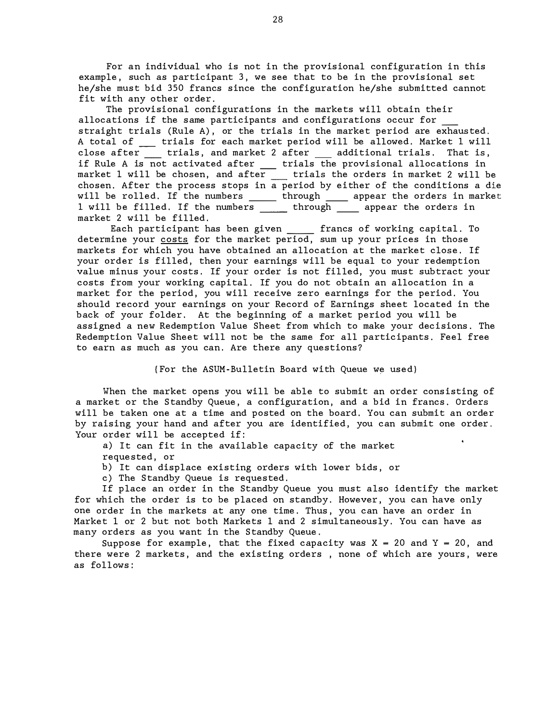For an individual who is not in the provisional configuration in this example, such as participant 3, we see that to be in the provisional set he/she must bid 350 francs since the configuration he/she submitted cannot fit with any other order.

The provisional configurations in the markets will obtain their allocations if the same participants and configurations occur for straight trials (Rule A), or the trials in the market period are exhausted. A total of \_\_ trials for each market period will be allowed. Market 1 will close after trials, and market 2 after additional trials. That is, if Rule A is not activated after \_\_\_ trials the provisional allocations in market 1 will be chosen, and after  $\quad \_$  trials the orders in market 2 will be chosen. After the process stops in a period by either of the conditions a die will be rolled. If the numbers  $\rule{1em}{0.15mm}$  through  $\rule{1.5mm}{0.15mm}$  appear the orders in market l will be filled. If the numbers \_\_\_\_\_\_ through \_\_\_\_\_ appear the orders in market 2 will be filled.

Each participant has been given \_\_\_\_\_\_ francs of working capital. To determine your costs for the market period, sum up your prices in those markets for which you have obtained an allocation at the market close. If your order is filled, then your earnings will be equal to your redemption value minus your costs. If your order is not filled, you must subtract your costs from your working capital. If you do not obtain an allocation in a market for the period, you will receive zero earnings for the period. You should record your earnings on your Record of Earnings sheet located in the back of your folder. At the beginning of a market period you will be assigned a new Redemption Value Sheet from which to make your decisions. The Redemption Value Sheet will not be the same for all participants. Feel free to earn as much as you can. Are there any questions?

{ For the ASUM-Bulletin Board with Queue we used}

When the market opens you will be able to submit an order consisting of a market or the Standby Queue, a configuration, and a bid in francs. Orders will be taken one at a time and posted on the board. You can submit an order by raising your hand and after you are identified, you can submit one order. Your order will be accepted if:

a) It can fit in the available capacity of the market requested , or

b) It can displace existing orders with lower bids, or

c) The Standby Queue is requested.

If place an order in the Standby Queue you must also identify the market for which the order is to be placed on standby. However, you can have only one order in the markets at any one time. Thus, you can have an order in Market 1 or 2 but not both Markets 1 and 2 simultaneously. You can have as many orders as you want in the Standby Queue.

Suppose for example, that the fixed capacity was  $X = 20$  and  $Y = 20$ , and there were 2 markets, and the existing orders, none of which are yours, were as follows :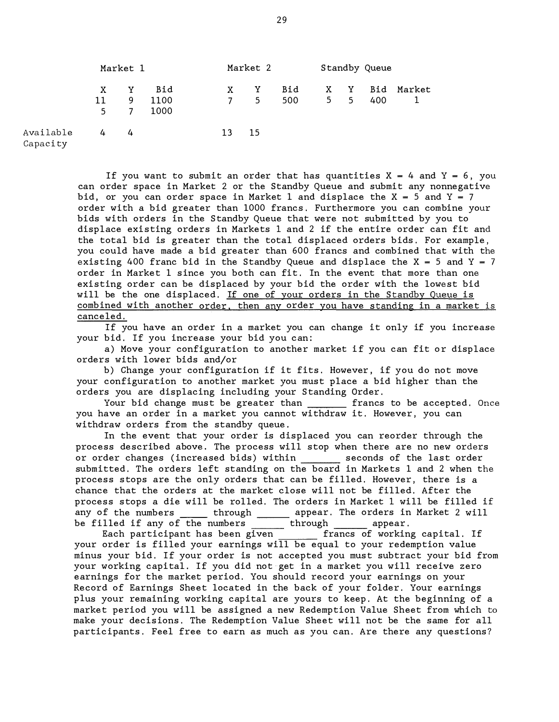|                       | Market 1 |    | Market 2 |              | Standby Queue  |     |             |  |     |        |
|-----------------------|----------|----|----------|--------------|----------------|-----|-------------|--|-----|--------|
|                       | X        | Y  | Bid      | $\mathbf{X}$ | Y              | Bid | X Y         |  | Bid | Market |
|                       | 11       | 9  | 1100     | 7            | 5 <sup>5</sup> | 500 | $5\qquad 5$ |  | 400 |        |
|                       | $5 -$    | -7 | 1000     |              |                |     |             |  |     |        |
| Available<br>Capacity | 4        | 4  |          | 13 15        |                |     |             |  |     |        |

If you want to submit an order that has quantities  $X = 4$  and  $Y = 6$ , you can order space in Market 2 or the Standby Queue and submit any nonnegative bid, or you can order space in Market 1 and displace the  $X = 5$  and  $Y = 7$ order with a bid greater than 1000 francs. Furthermore you can combine your bids with orders in the Standby Queue that were not submitted by you to displace existing orders in Markets 1 and 2 if the entire order can fit and the total bid is greater than the total displaced orders bids. For example, you could have made a bid greater than 600 francs and combined that with the existing 400 franc bid in the Standby Queue and displace the X = 5 and Y = 7 order in Market 1 since you both can fit. In the event that more than one existing order can be displaced by your bid the order with the lowest bid will be the one displaced. If one of your orders in the Standby Queue is combined with another order, then any order you have standing in a market is canceled .

If you have an order in a market you can change it only if you increase your bid. If you increase your bid you can:

a) Move your configuration to another market if you can fit or displace orders with lower bids and/or

b) Change your configuration if it fits. However, if you do not move your configuration to another market you must place a bid higher than the orders you are displacing including your Standing Order.

Your bid change must be greater than **francs** to be accepted. Once you have an order in a market you cannot withdraw it. However, you can withdraw orders from the standby queue .

In the event that your order is displaced you can reorder through the process described above. The process will stop when there are no new orders or order changes (increased bids) within seconds of the last order submitted. The orders left standing on the board in Markets 1 and 2 when the process stops are the only orders that can be filled. However, there is a chance that the orders at the market close will not be filled. After the process stops a die will be rolled. The orders in Market 1 will be filled if any of the numbers \_\_\_\_\_\_ through \_\_\_\_\_\_ appear. The orders in Market 2 will be filled if any of the numbers  $\rule{1em}{0.15mm}$  through  $\rule{1.5mm}{0.15mm}$  appear.

Each participant has been given  $\begin{array}{ccc} \text{francs} & \text{of} \end{array}$  working capital. If your order is filled your earnings will be equal to your redemption value minus your bid. If your order is not accepted you must subtract your bid from your working capital. If you did not get in a market you will receive zero earnings for the market period. You should record your earnings on your Record of Earnings Sheet located in the back of your folder. Your earnings plus your remaining working capital are yours to keep. At the beginning of a market period you will be assigned a new Redemption Value Sheet from which to make your decisions. The Redemption Value Sheet will not be the same for all participants. Feel free to earn as much as you can. Are there any questions?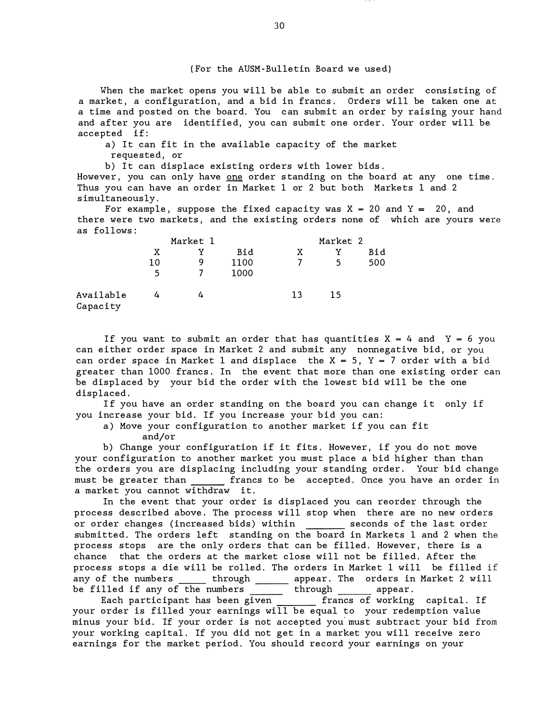{ For the AUSM- Bulletin Board we used)

When the market opens you will be able to submit an order consisting of a market, a configuration, and a bid in francs. Orders will be taken one at a time and posted on the board. You can submit an order by raising your hand and after you are identified, you can submit one order . Your order will be accepted if :

a) It can fit in the available capacity of the market

requested, or

b) It can displace existing orders with lower bids.

However, you can only have  $\Omega$  order standing on the board at any one time. Thus you can have an order in Market 1 or 2 but both Markets 1 and 2 s imultaneously .

For example, suppose the fixed capacity was  $X = 20$  and  $Y = 20$ , and there were two markets, and the existing orders none of which are yours were as follows :

|                       |               | Market 1 |              | Market 2 |    |     |  |
|-----------------------|---------------|----------|--------------|----------|----|-----|--|
|                       | Bid<br>X<br>v |          |              | X        | v  | Bid |  |
|                       | 10<br>5       | g        | 1100<br>1000 |          | 5  | 500 |  |
| Available<br>Capacity | 4             |          |              | 13       | 15 |     |  |

If you want to submit an order that has quantities  $X = 4$  and  $Y = 6$  you can either order space in Market 2 and submit any nonnegative bid, or you can order space in Market 1 and displace the  $X = 5$ ,  $Y = 7$  order with a bid greater than 1000 francs . In the event that more than one existing order can be displaced by your bid the order with the lowest bid will be the one displaced.

If you have an order standing on the board you can change it only if you increase your bid. If you increase your bid you can:

a) Move your configuration to another market if you can fit and/or

b) Change your configuration if it fits. However, if you do not move your configuration to another market you must place a bid higher than than the orders you are displacing including your standing order. Your bid change must be greater than francs to be accepted. Once you have an order in a market you cannot withdraw it.

In the event that your order is displaced you can reorder through the process described above. The process will stop when there are no new orders or order changes (increased bids) within \_\_\_\_\_\_ seconds of the last order submitted. The orders left standing on the board in Markets 1 and 2 when the process stops are the only orders that can be filled. However, there is a chance that the orders at the market close will not be filled. After the process s tops a die will be rolled . The orders in Market 1 will be filled if any of the numbers \_\_\_\_\_ through \_\_\_\_\_\_ appear. The orders in Market 2 will be filled if any of the numbers \_\_\_\_\_\_\_ through \_\_\_\_\_\_ appear.

Each participant has been given \_\_\_\_\_\_\_ francs of working capital. If your order is filled your earnings will be equal to your redemption value minus your bid . If your order is not accepted you' must subtract your bid from your working capital. If you did not get in a market you will receive zero earnings for the market period. You should record your earnings on your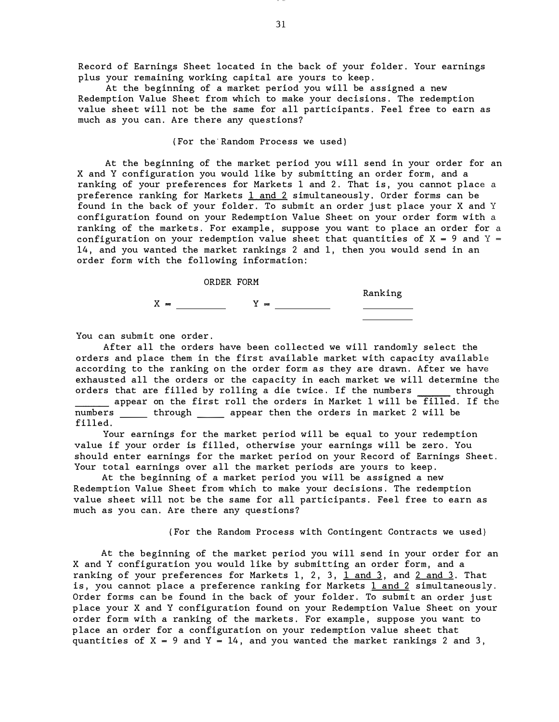Record of Earnings Sheet located in the back of your folder . Your earnings plus your remaining working capital are yours to keep.

At the beginning of a market period you will be assigned a new Redemption Value Sheet from which to make your decisions. The redemption value sheet will not be the same for all participants. Feel free to earn as much as you can. Are there any questions?

#### { For the Random Process we used }

At the beginning of the market period you will send in your order for an X and Y configuration you would like by submitting an order form, and a ranking of your preferences for Markets 1 and 2. That is, you cannot place a preference ranking for Markets  $1$  and  $2$  simultaneously. Order forms can be found in the back of your folder. To submit an order just place your X and Y configuration found on your Redemption Value Sheet on your order form with a ranking of the markets. For example, suppose you want to place an order for a configuration on your redemption value sheet that quantities of  $X = 9$  and  $Y = 1$ 14, and you wanted the market rankings 2 and 1, then you would send in an order form with the following information:



You can submit one order.

After all the orders have been collected we will randomly select the orders and place them in the first available market with capacity available according to the ranking on the order form as they are drawn . After we have exhausted all the orders or the capacity in each market we will determine the orders that are filled by rolling a die twice. If the numbers through appear on the first roll the orders in Market 1 will be filled. If the numbers \_\_\_\_\_ through \_\_\_\_\_ appear then the orders in market 2 will be filled.

Your earnings for the market period will be equal to your redemption value if your order is filled, otherwise your earnings will be zero. You should enter earnings for the market period on your Record of Earnings Sheet . Your total earnings over all the market periods are yours to keep.

At the beginning of a market period you will be assigned a new Redemption Value Sheet from which to make your decisions. The redemption value sheet will not be the same for all participants. Feel free to earn as much as you can. Are there any questions?

(For the Random Process with Contingent Contracts we used)

At the beginning of the market period you will send in your order for an X and Y configuration you would like by submitting an order form, and a ranking of your preferences for Markets 1, 2, 3,  $1$  and  $3$ , and  $2$  and  $3$ . That is, you cannot place a preference ranking for Markets  $1$  and  $2$  simultaneously. Order forms can be found in the back of your folder. To submit an order just place your X and Y configuration found on your Redemption Value Sheet on your order form with a ranking of the markets. For example, suppose you want to place an order for a configuration on your redemption value sheet that quantities of  $X = 9$  and  $Y = 14$ , and you wanted the market rankings 2 and 3,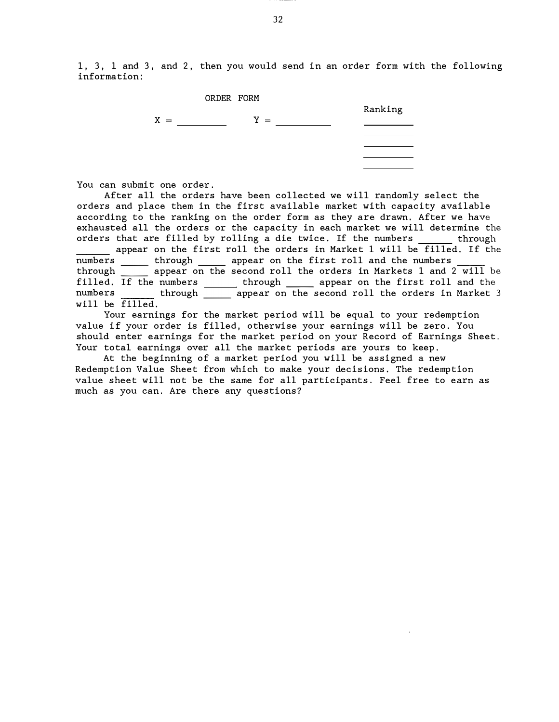1, 3, 1 and 3, and 2, then you would send in an order form with the following information :



You can submit one order.

After all the orders have been collected we will randomly select the orders and place them in the first available market with capacity available according to the ranking on the order form as they are drawn. After we have exhausted all the orders or the capacity in each market we will determine the orders that are filled by rolling a die twice. If the numbers \_\_\_\_\_\_ through

appear on the first roll the orders in Market 1 will be filled. If the numbers through appear on the first roll and the numbers numbers \_\_\_\_\_\_ through \_\_\_\_\_ appear on the first roll and the numbers \_\_\_\_\_<br>through appear on the second roll the orders in Markets  $1$  and  $2$  will be filled. If the numbers through wappear on the first roll and the numbers through appear on the second roll the orders in Market 3 will be  $\overline{\text{filled}}$ .

Your earnings for the market period will be equal to your redemption value if your order is filled, otherwise your earnings will be zero. You should enter earnings for the market period on your Record of Earnings Sheet. Your total earnings over all the market periods are yours to keep.

At the beginning of a market period you will be assigned a new Redemption Value Sheet from which to make your decisions. The redemption value sheet will not be the same for all participants. Feel free to earn as much as you can. Are there any questions?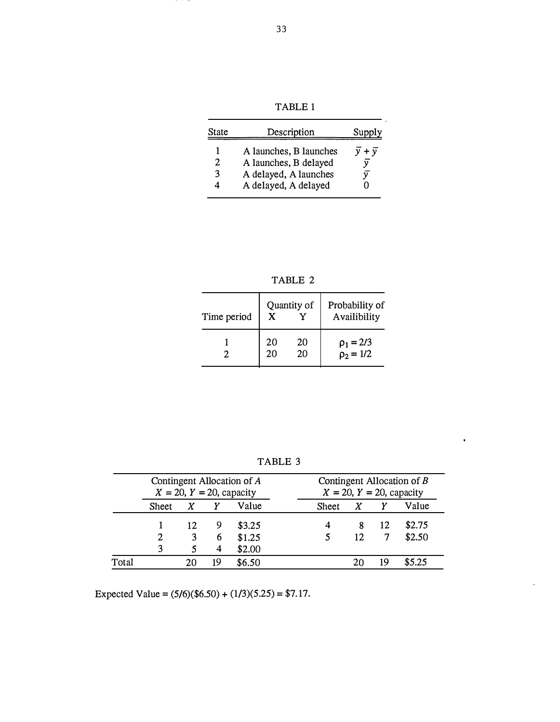TABLE 1

| State  | Description                                                                                      | Supply                                  |
|--------|--------------------------------------------------------------------------------------------------|-----------------------------------------|
| 2<br>3 | A launches, B launches<br>A launches, B delayed<br>A delayed, A launches<br>A delayed, A delayed | $\overline{y} + \overline{y}$<br>ν<br>ν |

TABLE 2

| Time period | Quantity of<br>X |          | Probability of<br>Availibility   |
|-------------|------------------|----------|----------------------------------|
|             | 20<br>20         | 20<br>20 | $\rho_1 = 2/3$<br>$\rho_2 = 1/2$ |

TABLE 3

 $\hat{\mathbf{v}}$ 

|       | Contingent Allocation of A<br>$X = 20$ , $Y = 20$ , capacity |    |    |                            | Contingent Allocation of $B$<br>$X = 20$ , $Y = 20$ , capacity |
|-------|--------------------------------------------------------------|----|----|----------------------------|----------------------------------------------------------------|
|       | Value<br>X<br><b>Sheet</b>                                   |    |    | Value<br>X<br><b>Sheet</b> |                                                                |
|       |                                                              | 12 | 9  | \$3.25                     | \$2.75<br>12<br>8                                              |
|       | 2                                                            |    | 6  | \$1.25                     | \$2.50<br>12                                                   |
|       | 3                                                            |    | 4  | \$2.00                     |                                                                |
| Total |                                                              |    | 19 | \$6.50                     | \$5.25<br>19<br>20                                             |

Expected Value =  $(5/6)(\$6.50) + (1/3)(5.25) = \$7.17$ .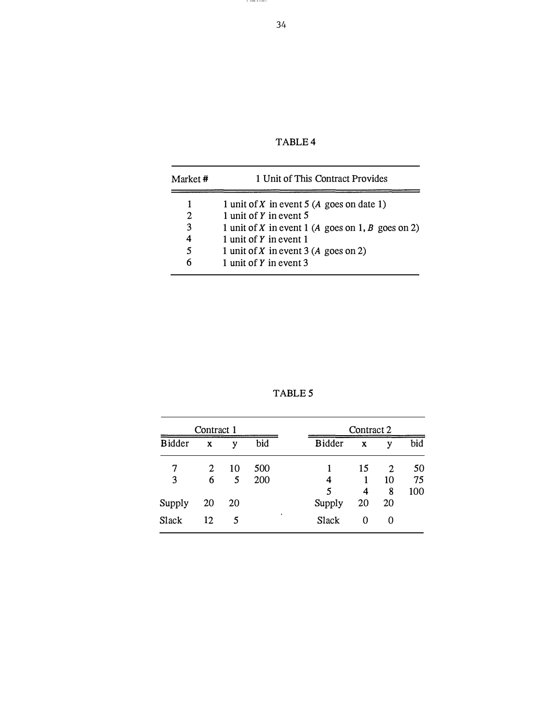TABLE 4

| Market # | 1 Unit of This Contract Provides                  |  |  |  |  |  |  |
|----------|---------------------------------------------------|--|--|--|--|--|--|
|          | 1 unit of X in event 5 (A goes on date 1)         |  |  |  |  |  |  |
| 2        | 1 unit of $Y$ in event $5$                        |  |  |  |  |  |  |
| 3        | 1 unit of X in event 1 (A goes on 1, B goes on 2) |  |  |  |  |  |  |
| 4        | 1 unit of Y in event 1                            |  |  |  |  |  |  |
| 5        | 1 unit of X in event $3(A \text{ goes on } 2)$    |  |  |  |  |  |  |
| 6        | 1 unit of Y in event 3                            |  |  |  |  |  |  |

TABLE S

|               | Contract 1            |    |     |                    | Contract 2 |                |     |
|---------------|-----------------------|----|-----|--------------------|------------|----------------|-----|
| <b>Bidder</b> | X                     | v  | bid | <b>Bidder</b>      | X          | V              | bid |
|               | $\mathbf{2}^{\prime}$ | 10 | 500 |                    | 15         | $\mathfrak{D}$ | 50  |
| 3             | 6                     | 5  | 200 | 4                  |            | 10             | 75  |
|               |                       |    |     | 5                  | 4          | 8              | 100 |
| Supply        | 20                    | 20 |     | Supply             | 20         | 20             |     |
| <b>Slack</b>  | 12                    |    |     | $\bullet$<br>Slack | 0          |                |     |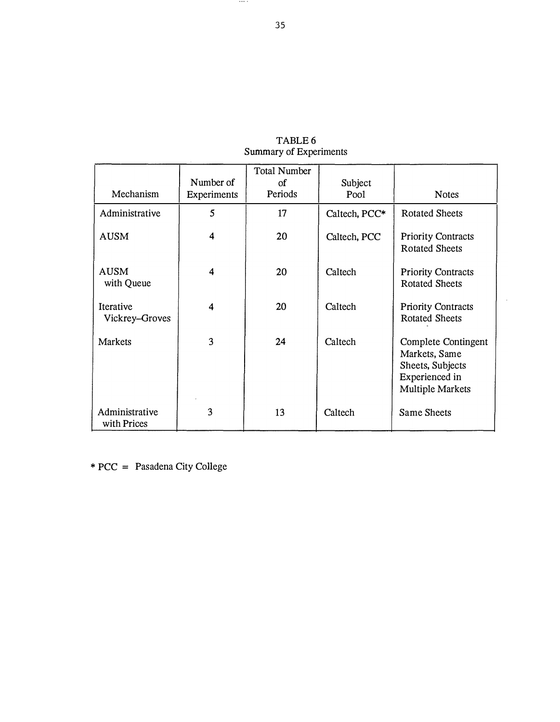| Mechanism                     | Number of<br>Experiments | <b>Total Number</b><br>οf<br>Periods | Subject<br>Pool | <b>Notes</b>                                                                                   |
|-------------------------------|--------------------------|--------------------------------------|-----------------|------------------------------------------------------------------------------------------------|
| Administrative                | 5                        | 17                                   | Caltech, PCC*   | <b>Rotated Sheets</b>                                                                          |
| <b>AUSM</b>                   | 4                        | 20                                   | Caltech, PCC    | <b>Priority Contracts</b><br><b>Rotated Sheets</b>                                             |
| <b>AUSM</b><br>with Queue     | 4                        | 20                                   | Caltech         | <b>Priority Contracts</b><br><b>Rotated Sheets</b>                                             |
| Iterative<br>Vickrey-Groves   | 4                        | 20                                   | Caltech         | <b>Priority Contracts</b><br><b>Rotated Sheets</b>                                             |
| Markets                       | 3                        | 24                                   | Caltech         | Complete Contingent<br>Markets, Same<br>Sheets, Subjects<br>Experienced in<br>Multiple Markets |
| Administrative<br>with Prices | 3                        | 13                                   | Caltech         | <b>Same Sheets</b>                                                                             |

 $\mathcal{A}^{\mathcal{A}}$ 

TABLE 6 Summary of Experiments

\* PCC = Pasadena City College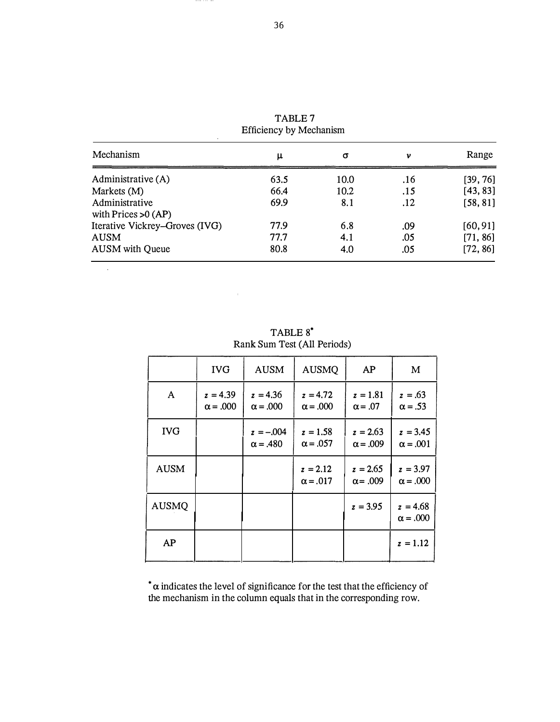| Mechanism                               | μ    | σ    | v   | Range    |
|-----------------------------------------|------|------|-----|----------|
| Administrative (A)                      | 63.5 | 10.0 | .16 | [39, 76] |
| Markets (M)                             | 66.4 | 10.2 | .15 | [43, 83] |
| Administrative<br>with Prices $>0$ (AP) | 69.9 | 8.1  | .12 | [58, 81] |
| Iterative Vickrey–Groves (IVG)          | 77.9 | 6.8  | .09 | [60, 91] |
| <b>AUSM</b>                             | 77.7 | 4.1  | .05 | [71, 86] |
| <b>AUSM</b> with Queue                  | 80.8 | 4.0  | .05 | [72, 86] |

TABLE 7 Efficiency by Mechanism

TABLE 8 • Rank Sum Test (All Periods)

 $\hat{\phi}$ 

|              | <b>IVG</b>                    | <b>AUSM</b>                    | <b>AUSMQ</b>                  | <b>AP</b>                     | M                             |
|--------------|-------------------------------|--------------------------------|-------------------------------|-------------------------------|-------------------------------|
| A            | $z = 4.39$<br>$\alpha = .000$ | $z = 4.36$<br>$\alpha = .000$  | $z = 4.72$<br>$\alpha = .000$ | $z = 1.81$<br>$\alpha = .07$  | $z = .63$<br>$\alpha = .53$   |
| <b>IVG</b>   |                               | $z = -.004$<br>$\alpha = .480$ | $z = 1.58$<br>$\alpha = .057$ | $z = 2.63$<br>$\alpha = .009$ | $z = 3.45$<br>$\alpha = .001$ |
| <b>AUSM</b>  |                               |                                | $z = 2.12$<br>$\alpha = .017$ | $z = 2.65$<br>$\alpha$ = .009 | $z = 3.97$<br>$\alpha = .000$ |
| <b>AUSMQ</b> |                               |                                |                               | $z = 3.95$                    | $z = 4.68$<br>$\alpha = .000$ |
| <b>AP</b>    |                               |                                |                               |                               | $z = 1.12$                    |

 $\alpha$  indicates the level of significance for the test that the efficiency of the mechanism in the column equals that in the corresponding row.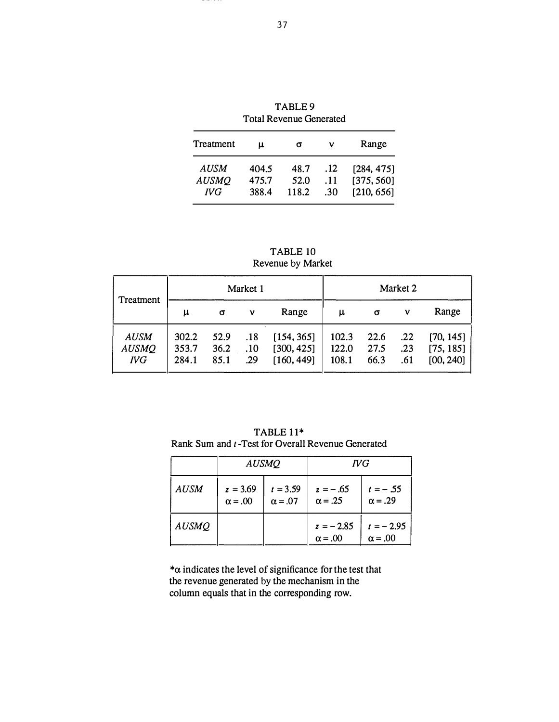| <b>Total Revenue Generated</b>     |                         |                       |                   |                                        |  |  |  |  |  |
|------------------------------------|-------------------------|-----------------------|-------------------|----------------------------------------|--|--|--|--|--|
| Treatment                          | μ                       | σ                     | ν                 | Range                                  |  |  |  |  |  |
| AUSM<br><b>AUSMO</b><br><b>IVG</b> | 404.5<br>475.7<br>388.4 | 48.7<br>52.0<br>118.2 | .12<br>.11<br>.30 | [284, 475]<br>[375, 560]<br>[210, 656] |  |  |  |  |  |

TABLE 9

TABLE 10 Revenue by Market

|                                           | Market 1                |                      |                   |                                        | Market 2                |                      |                   |                                     |
|-------------------------------------------|-------------------------|----------------------|-------------------|----------------------------------------|-------------------------|----------------------|-------------------|-------------------------------------|
| Treatment                                 | μ                       | σ                    | ν                 | Range                                  | μ                       | σ                    | ν                 | Range                               |
| <b>AUSM</b><br><b>AUSMQ</b><br><b>IVG</b> | 302.2<br>353.7<br>284.1 | 52.9<br>36.2<br>85.1 | .18<br>.10<br>.29 | [154, 365]<br>[300, 425]<br>[160, 449] | 102.3<br>122.0<br>108.1 | 22.6<br>27.5<br>66.3 | .22<br>.23<br>.61 | [70, 145]<br>[75, 185]<br>[00, 240] |

TABLE 11\* Rank Sum and t -Test for Overall Revenue Generated

|              | <b>AUSMQ</b>                 |                              | <b>IVG</b>                    |                               |
|--------------|------------------------------|------------------------------|-------------------------------|-------------------------------|
| <b>AUSM</b>  | $z = 3.69$<br>$\alpha = .00$ | $t = 3.59$<br>$\alpha = .07$ | $z = -.65$<br>$\alpha = .25$  | $t = -0.55$<br>$\alpha = .29$ |
| <b>AUSMQ</b> |                              |                              | $z = -2.85$<br>$\alpha = .00$ | $t = -2.95$<br>$\alpha = .00$ |

 $*\alpha$  indicates the level of significance for the test that the revenue generated by the mechanism in the column equals that in the corresponding row.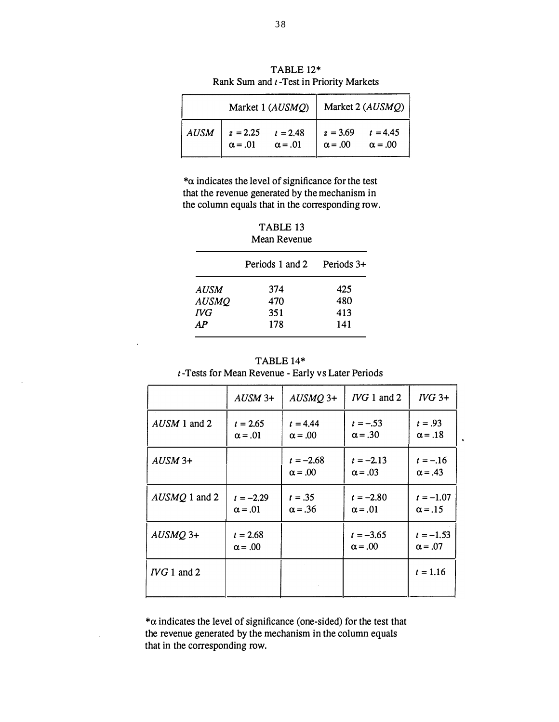|             | Market 1 (AUSMQ)                        |                | Market 2 (AUSMQ)                        |                |
|-------------|-----------------------------------------|----------------|-----------------------------------------|----------------|
| <b>AUSM</b> | $z = 2.25$ $t = 2.48$<br>$\alpha = .01$ | $\alpha = .01$ | $z = 3.69$ $t = 4.45$<br>$\alpha = .00$ | $\alpha = .00$ |

TABLE 12\* Rank Sum and t -Test in Priority Markets

 $*\alpha$  indicates the level of significance for the test that the revenue generated by the mechanism in the column equals that in the corresponding row.

| TABLE 13     |  |  |
|--------------|--|--|
| Mean Revenue |  |  |

|              | Periods 1 and 2 | Periods 3+ |
|--------------|-----------------|------------|
| <b>AUSM</b>  | 374             | 425        |
| <b>AUSMQ</b> | 470             | 480        |
| <b>IVG</b>   | 351             | 413        |
| AP           | 178             | 141        |

TABLE 14\* t -Tests for Mean Revenue - Early vs Later Periods

|                          | $AUSM$ 3+                     | $AUSMQ$ 3+                    | $IVG1$ and 2                  | $IVG$ 3+                      |
|--------------------------|-------------------------------|-------------------------------|-------------------------------|-------------------------------|
| $AUSM$ 1 and 2           | $t = 2.65$<br>$\alpha = .01$  | $t = 4.44$<br>$\alpha = .00$  | $t = -.53$<br>$\alpha = .30$  | $t = .93$<br>$\alpha = .18$   |
| $AUSM$ 3+                |                               | $t = -2.68$<br>$\alpha = .00$ | $t = -2.13$<br>$\alpha = .03$ | $t = -.16$<br>$\alpha = .43$  |
| AUSMQ 1 and 2            | $t = -2.29$<br>$\alpha = .01$ | $t = .35$<br>$\alpha = .36$   | $t = -2.80$<br>$\alpha = .01$ | $t = -1.07$<br>$\alpha = .15$ |
| $AUSMQ$ 3+               | $t = 2.68$<br>$\alpha = .00$  |                               | $t = -3.65$<br>$\alpha = .00$ | $t = -1.53$<br>$\alpha = .07$ |
| $\Gamma\Gamma G$ 1 and 2 |                               |                               |                               | $t = 1.16$                    |

 $*\alpha$  indicates the level of significance (one-sided) for the test that the revenue generated by the mechanism in the column equals that in the corresponding row.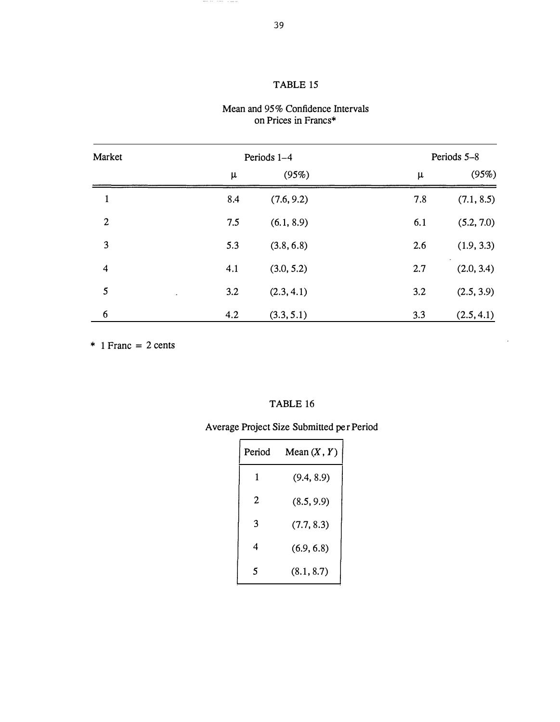### TABLE 15

#### Mean and 95% Confidence Intervals on Prices in Francs\*

| Market                  | Periods 1-4 |            |     | Periods 5-8 |  |
|-------------------------|-------------|------------|-----|-------------|--|
|                         | μ           | (95%)      | μ   | (95%)       |  |
| 1                       | 8.4         | (7.6, 9.2) | 7.8 | (7.1, 8.5)  |  |
| $\overline{2}$          | 7.5         | (6.1, 8.9) | 6.1 | (5.2, 7.0)  |  |
| 3                       | 5.3         | (3.8, 6.8) | 2.6 | (1.9, 3.3)  |  |
| $\overline{\mathbf{4}}$ | 4.1         | (3.0, 5.2) | 2.7 | (2.0, 3.4)  |  |
| $5\overline{5}$         | 3.2         | (2.3, 4.1) | 3.2 | (2.5, 3.9)  |  |
| 6                       | 4.2         | (3.3, 5.1) | 3.3 | (2.5, 4.1)  |  |

 $*$  1 Franc = 2 cents

#### TABLE 16

# Average Project Size Submitted per Period

| Period | Mean $(X, Y)$ |
|--------|---------------|
| 1      | (9.4, 8.9)    |
| 2      | (8.5, 9.9)    |
| 3      | (7.7, 8.3)    |
| 4      | (6.9, 6.8)    |
| ٢      | (8.1, 8.7)    |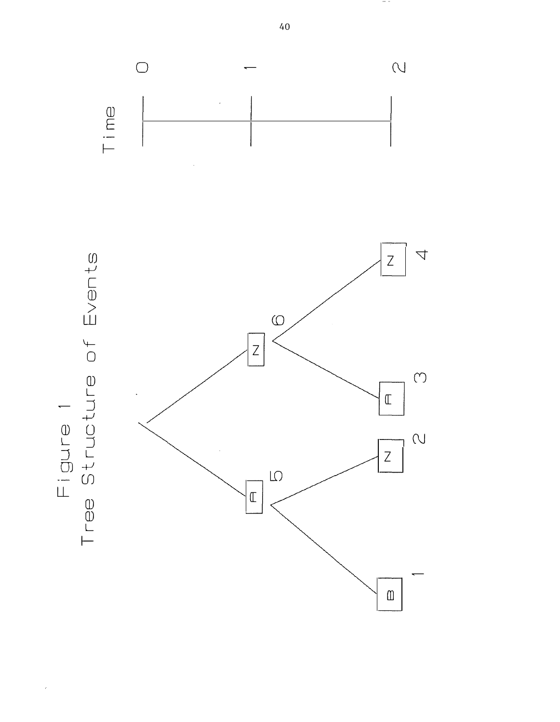

40

**COLUMN**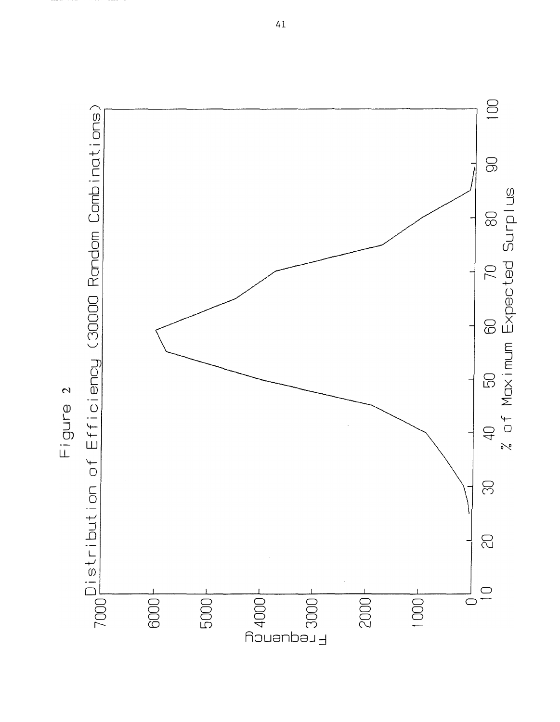

41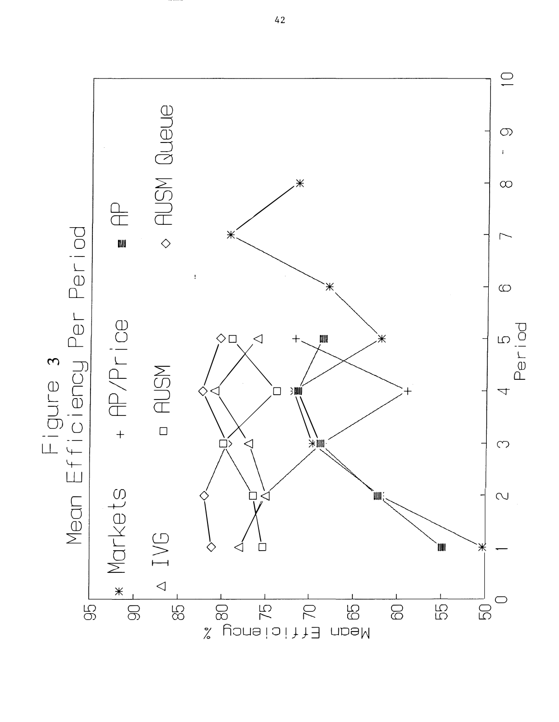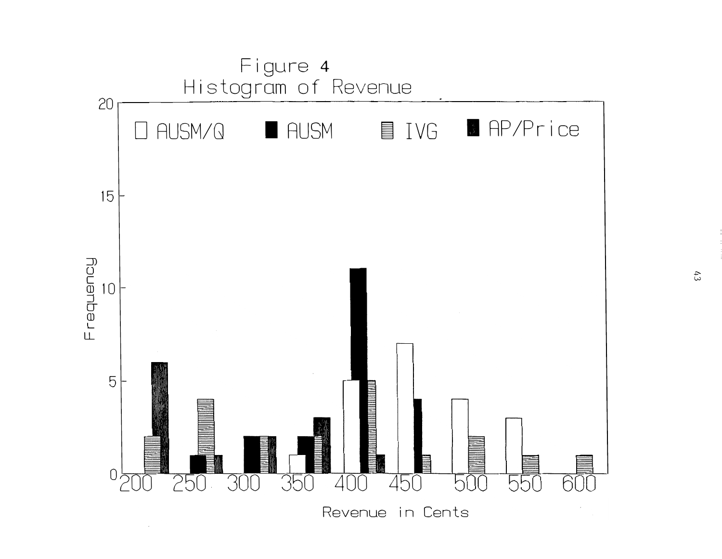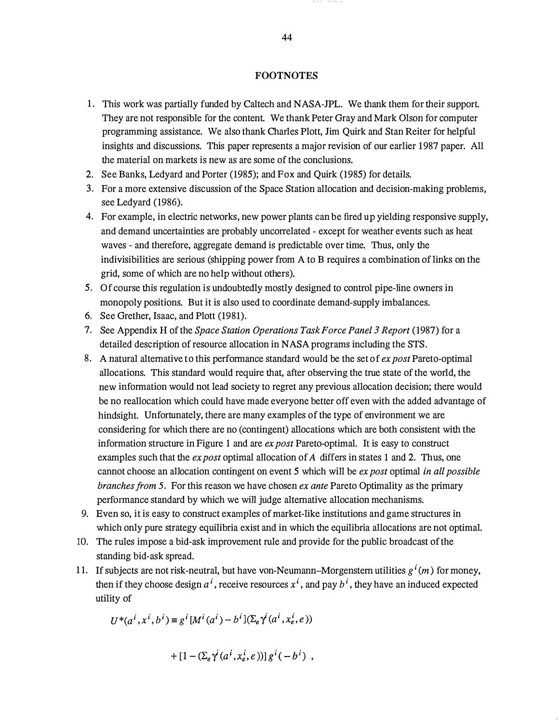#### FOOTNOTES

- 1. This work was partially funded by Caltech and NASA-JPL. We thank them for their support. They are not responsible for the content. We thank Peter Gray and Mark Olson for computer programming assistance. We also thank Charles Plott, Jim Quirk and Stan Reiter for helpful insights and discussions. This paper represents a major revision of our earlier 1987 paper. Al the material on markets is new as are some of the conclusions.
- 2. See Banks, Ledyard and Porter (1985); and Fox and Quirk (1985) for details.
- 3. For a more extensive discussion of the Space Station allocation and decision-making problems, see Ledyard (1986).
- 4. For example, in electric networks, new power plants can be fired up yielding responsive supply, and demand uncertainties are probably uncorrelated - except for weather events such as heat waves - and therefore, aggregate demand is predictable over time. Thus, only the indivisibilities are serious (shipping power from A to B requires a combination of links on the grid, some of which are no help without others).
- 5. Of course this regulation is undoubtedly mostly designed to control pipe-line owners in monopoly positions. But it is also used to coordinate demand-supply imbalances.
- 6. See Grether, Isaac, and Plott (1981).
- 7. See Appendix H of the Space Station Operations Task Force Panel 3 Report (1987) for a detailed description of resource allocation in NASA programs including the STS.
- 8. A natural alternative to this performance standard would be the set of  $ex$  post Pareto-optimal allocations. This standard would require that, after observing the true state of the world, the new information would not lead society to regret any previous allocation decision; there would be no reallocation which could have made everyone better off even with the added advantage of hindsight. Unfortunately, there are many examples of the type of environment we are considering for which there are no (contingent) allocations which are both consistent with the information structure in Figure 1 and are  $ex$  post Pareto-optimal. It is easy to construct examples such that the *ex post* optimal allocation of A differs in states 1 and 2. Thus, one cannot choose an allocation contingent on event 5 which will be *ex post* optimal *in all possible* branches from 5. For this reason we have chosen  $ex$  ante Pareto Optimality as the primary performance standard by which we will judge alternative allocation mechanisms.
- 9. Even so, it is easy to construct examples of market-like institutions and game structures in which only pure strategy equilibria exist and in which the equilibria allocations are not optimal.
- 10. The rules impose a bid-ask improvement rule and provide for the public broadcast of the standing bid-ask spread.
- 11. If subjects are not risk-neutral, but have von-Neumann-Morgenstern utilities  $g^{i}(m)$  for money, then if they choose design  $a^i$ , receive resources  $x^i$ , and pay  $b^i$ , they have an induced expected utility of

$$
U^*(a^i, x^i, b^i) \equiv g^i [M^i(a^i) - b^i] (\Sigma_e \gamma^i(a^i, x^i_e, e))
$$

$$
+[1-(\Sigma_e\gamma^i(a^i,x^i_e,e))]g^i(-b^i) ,
$$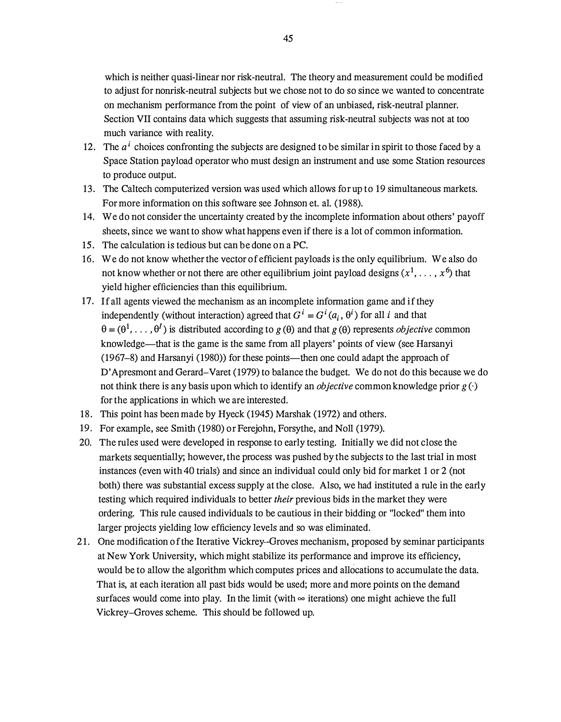which is neither quasi-linear nor risk-neutral. The theory and measurement could be modified to adjust for nonrisk-neutral subjects but we chose not to do so since we wanted to concentrate on mechanism performance from the point of view of an unbiased, risk-neutral planner. Section VII contains data which suggests that assuming risk-neutral subjects was not at too much variance with reality.

- 12. The  $a^i$  choices confronting the subjects are designed to be similar in spirit to those faced by a Space Station payload operator who must design an instrument and use some Station resources to produce output.
- 13. The Caltech computerized version was used which allows for up to 19 simultaneous markets. For more information on this software see Johnson et. al. (1988).
- 14. We do not consider the uncertainty created by the incomplete information about others' payoff sheets, since we want to show what happens even if there is a lot of common information.
- 15. The calculation is tedious but can be done on a PC.
- 16. We do not know whether the vector of efficient payloads is the only equilibrium. We also do not know whether or not there are other equilibrium joint payload designs  $(x^1, \ldots, x^6)$  that yield higher efficiencies than this equilibrium.
- 17. If all agents viewed the mechanism as an incomplete information game and if they independently (without interaction) agreed that  $G^{i} = G^{i}(a_{i}, \theta^{i})$  for all i and that  $\theta = (\theta^1, \dots, \theta^I)$  is distributed according to  $g(\theta)$  and that  $g(\theta)$  represents *objective* common knowledge—that is the game is the same from all players' points of view (see Harsanyi (1967–8) and Harsanyi (1980)) for these points—then one could adapt the approach of D'Apresmont and Gerard-Varet (1979) to balance the budget. We do not do this because we do not think there is any basis upon which to identify an *objective* common knowledge prior  $g(\cdot)$ for the applications in which we are interested.
- 18. This point has been made by Hyeck (1945) Marshak (1972) and others.
- 19. For example, see Smith (1980) or Ferejohn, Forsythe, and Noll (1979).
- 20. The rules used were developed in response to early testing. Initially we did not close the markets sequentially; however, the process was pushed by the subjects to the last trial in most instances (even with 40 trials) and since an individual could only bid for market 1 or 2 (not both) there was substantial excess supply at the close. Also, we had instituted a rule in the early testing which required individuals to better *their* previous bids in the market they were ordering. This rule caused individuals to be cautious in their bidding or "locked" them into larger projects yielding low efficiency levels and so was eliminated.
- 21. One modification of the Iterative Vickrey-Groves mechanism, proposed by seminar participants at New York University, which might stabilize its performance and improve its efficiency, would be to allow the algorithm which computes prices and allocations to accumulate the data. That is, at each iteration all past bids would be used; more and more points on the demand surfaces would come into play. In the limit (with  $\infty$  iterations) one might achieve the full Vickrey-Groves scheme. This should be followed up.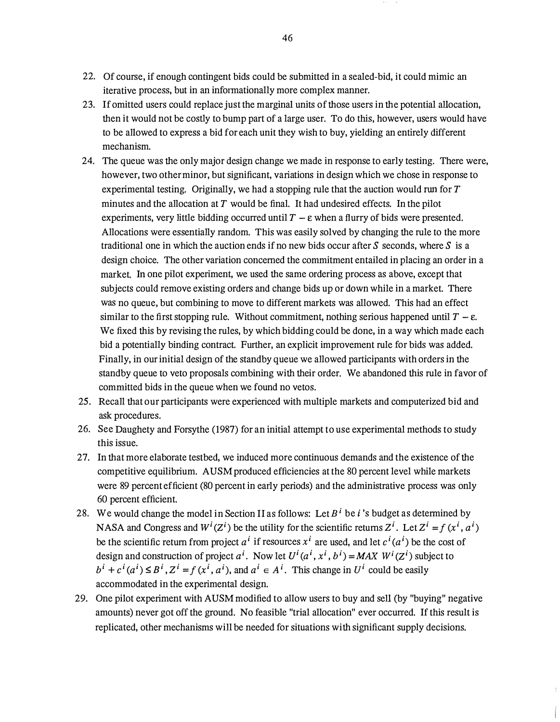- 22. Of course, if enough contingent bids could be submitted in a sealed-bid, it could mimic an iterative process, but in an informationally more complex manner.
- 23. If omitted users could replace just the marginal units of those users in the potential allocation, then it would not be costly to bump part of a large user. To do this, however, users would have to be allowed to express a bid for each unit they wish to buy, yielding an entirely different mechanism.
- 24. The queue was the only major design change we made in response to early testing. There were, however, two other minor, but significant, variations in design which we chose in response to experimental testing. Originally, we had a stopping rule that the auction would run for  $T$ minutes and the allocation at  $T$  would be final. It had undesired effects. In the pilot experiments, very little bidding occurred until  $T - \varepsilon$  when a flurry of bids were presented. Allocations were essentially random. This was easily solved by changing the rule to the more traditional one in which the auction ends if no new bids occur after  $S$  seconds, where  $S$  is a design choice. The other variation concerned the commitment entailed in placing an order in a market. In one pilot experiment, we used the same ordering process as above, except that subjects could remove existing orders and change bids up or down while in a market. There was no queue, but combining to move to different markets was allowed. This had an effect similar to the first stopping rule. Without commitment, nothing serious happened until  $T - \varepsilon$ . We fixed this by revising the rules, by which bidding could be done, in a way which made each bid a potentially binding contract. Further, an explicit improvement rule for bids was added. Finally, in our initial design of the standby queue we allowed participants with orders in the standby queue to veto proposals combining with their order. We abandoned this rule in favor of committed bids in the queue when we found no vetos.
- 25. Recall that our participants were experienced with multiple markets and computerized bid and ask procedures.
- 26. See Daughety and Forsythe (1987) for an initial attempt to use experimental methods to study this issue.
- 27. In that more elaborate testbed, we induced more continuous demands and the existence of the competitive equilibrium. AUSM produced efficiencies at the 80 percent level while markets were 89 percent efficient (80 percent in early periods) and the administrative process was only 60 percent efficient.
- 28. We would change the model in Section II as follows: Let  $B^i$  be i's budget as determined by NASA and Congress and  $W^{i}(Z^{i})$  be the utility for the scientific returns  $Z^{i}$ . Let  $Z^{i} = f(x^{i}, a^{i})$ be the scientific return from project  $a^i$  if resources  $x^i$  are used, and let  $c^i(a^i)$  be the cost of design and construction of project  $a^i$ . Now let  $U^i(a^i, x^i, b^i) = MAX \ W^i(Z^i)$  subject to  $b^i + c^i (a^i) \leq B^i$ ,  $Z^i = f (x^i, a^i)$ , and  $a^i \in A^i$ . This change in  $U^i$  could be easily accommodated in the experimental design.
- 29. One pilot experiment with A USM modified to allow users to buy and sell (by "buying" negative amounts) never got off the ground. No feasible "trial allocation" ever occurred. If this result is replicated, other mechanisms will be needed for situations with significant supply decisions.

46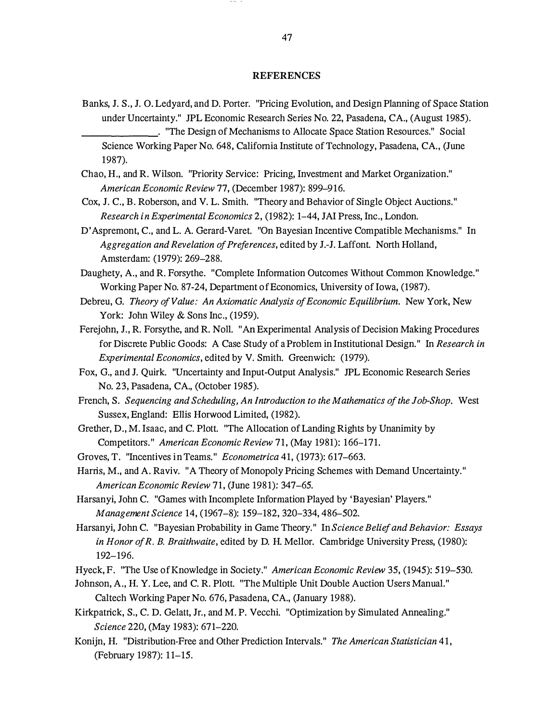#### **REFERENCES**

- Banks, J. S., J. 0. Ledyard, and D. Porter. "Pricing Evolution, and Design Planning of Space Station under Uncertainty." JPL Economic Research Series No. 22, Pasadena, CA., (August 1985).
- \_\_\_\_\_\_\_ . "The Design of Mechanisms to Allocate Space Station Resources." Social Science Working Paper No. 648, California Institute of Technology, Pasadena, CA., (June 1987).
- Chao, H., and R. Wilson. "Priority Service: Pricing, Investment and Market Organization." Am erican Economic Review 77, (December 1987): 899-916.
- Cox, J. C., B. Roberson, and V. L. Smith. "Theory and Behavior of Single Object Auctions." Research in Experimental Economics 2, (1982): 1-44, JAi Press, Inc., London.
- D 'Aspremont, C., and L. A. Gerard-Varet. "On Bayesian Incentive Compatible Mechanisms." In Aggregation and Revelation of Preferences, edited by J.-J. Laffont. North Holland, Amsterdam: (1979): 269-288.
- Daughety, A., and R. Forsythe. "Complete Information Outcomes Without Common Knowledge." Working Paper No. 87-24, Department of Economics, University of lowa, (1987).
- Debreu, G. Theory of Value: An Axiomatic Analysis of Economic Equilibrium. New York, New York: John Wiley & Sons Inc., (1959).
- Ferejohn, J., R. Forsythe, and R. Noll. "An Experimental Analysis of Decision Making Procedures for Discrete Public Goods: A Case Study of a Problem in Institutional Design." In Research in Experimental Economics, edited by V. Smith. Greenwich: (1979).
- Fox, G., and J. Quirk. "Uncertainty and Input-Output Analysis." JPL Economic Research Series No. 23, Pasadena, CA., (October 1985).
- French, S. Sequencing and Scheduling, An Introduction to the Mathem atics of the Job-Shop. West Sussex, England: Ellis Horwood Limited, (1982).
- Grether, D., M. Isaac, and C. Plott. "The Allocation of Landing Rights by Unanimity by Competitors." American Economic Review 71, (May 1981): 166-171.
- Groves, T. "Incentives in Teams." Econometrica 41, (1973): 617-663.
- Harris, M., and A. Raviv. "A Theory of Monopoly Pricing Schemes with Demand Uncertainty." American Economic Review 71, (June 1981): 347–65.
- Harsanyi, John C. "Games with Incomplete Information Played by 'Bayesian' Players." Management Science 14, (1967-8): 159-182, 320-334, 486-502.
- Harsanyi, John C. "Bayesian Probability in Game Theory." In Science Belief and Behavior: Essays in Honor of  $R$ . B. Braithwaite, edited by D. H. Mellor. Cambridge University Press, (1980): 192-196.
- Hyeck, F. "The Use of Knowledge in Society." American Economic Review 35, (1945): 519-530.
- Johnson, A., H. Y. Lee, and C. R. Plott. "The Multiple Unit Double Auction Users Manual." Caltech Working Paper No. 676, Pasadena, CA., (January 1988).
- Kirkpatrick, S., C. D. Gelatt, Jr., and M. P. Vecchi. "Optimization by Simulated Annealing." Science 220, (May 1983): 671-220.
- Konijn, H. "Distribution-Free and Other Prediction Intervals." The American Statistician 41, (February 1987): 11-15.